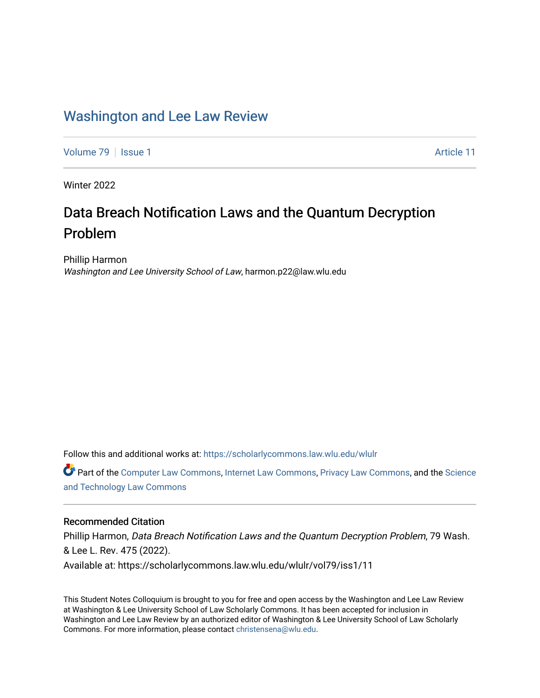# [Washington and Lee Law Review](https://scholarlycommons.law.wlu.edu/wlulr)

[Volume 79](https://scholarlycommons.law.wlu.edu/wlulr/vol79) | [Issue 1](https://scholarlycommons.law.wlu.edu/wlulr/vol79/iss1) Article 11

Winter 2022

# Data Breach Notification Laws and the Quantum Decryption Problem

Phillip Harmon Washington and Lee University School of Law, harmon.p22@law.wlu.edu

Follow this and additional works at: [https://scholarlycommons.law.wlu.edu/wlulr](https://scholarlycommons.law.wlu.edu/wlulr?utm_source=scholarlycommons.law.wlu.edu%2Fwlulr%2Fvol79%2Fiss1%2F11&utm_medium=PDF&utm_campaign=PDFCoverPages) 

Part of the [Computer Law Commons,](http://network.bepress.com/hgg/discipline/837?utm_source=scholarlycommons.law.wlu.edu%2Fwlulr%2Fvol79%2Fiss1%2F11&utm_medium=PDF&utm_campaign=PDFCoverPages) [Internet Law Commons,](http://network.bepress.com/hgg/discipline/892?utm_source=scholarlycommons.law.wlu.edu%2Fwlulr%2Fvol79%2Fiss1%2F11&utm_medium=PDF&utm_campaign=PDFCoverPages) [Privacy Law Commons,](http://network.bepress.com/hgg/discipline/1234?utm_source=scholarlycommons.law.wlu.edu%2Fwlulr%2Fvol79%2Fiss1%2F11&utm_medium=PDF&utm_campaign=PDFCoverPages) and the [Science](http://network.bepress.com/hgg/discipline/875?utm_source=scholarlycommons.law.wlu.edu%2Fwlulr%2Fvol79%2Fiss1%2F11&utm_medium=PDF&utm_campaign=PDFCoverPages)  [and Technology Law Commons](http://network.bepress.com/hgg/discipline/875?utm_source=scholarlycommons.law.wlu.edu%2Fwlulr%2Fvol79%2Fiss1%2F11&utm_medium=PDF&utm_campaign=PDFCoverPages) 

# Recommended Citation

Phillip Harmon, Data Breach Notification Laws and the Quantum Decryption Problem, 79 Wash. & Lee L. Rev. 475 (2022). Available at: https://scholarlycommons.law.wlu.edu/wlulr/vol79/iss1/11

This Student Notes Colloquium is brought to you for free and open access by the Washington and Lee Law Review at Washington & Lee University School of Law Scholarly Commons. It has been accepted for inclusion in Washington and Lee Law Review by an authorized editor of Washington & Lee University School of Law Scholarly Commons. For more information, please contact [christensena@wlu.edu.](mailto:christensena@wlu.edu)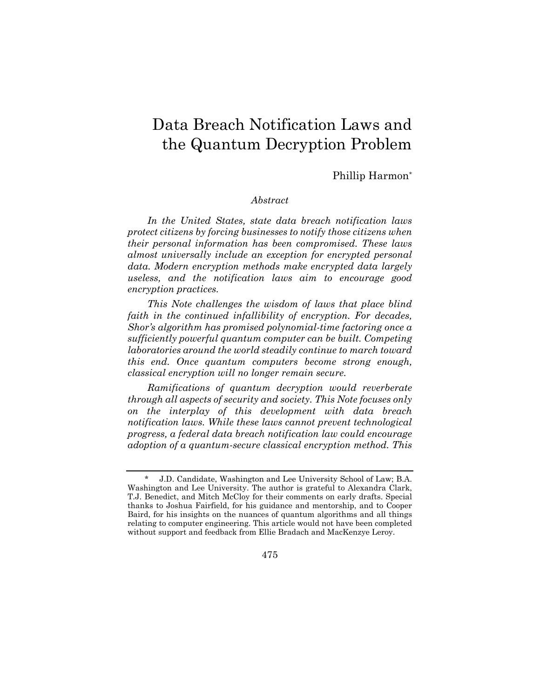# Data Breach Notification Laws and the Quantum Decryption Problem

Phillip Harmon\*

#### *Abstract*

*In the United States, state data breach notification laws protect citizens by forcing businesses to notify those citizens when their personal information has been compromised. These laws almost universally include an exception for encrypted personal data. Modern encryption methods make encrypted data largely useless, and the notification laws aim to encourage good encryption practices.* 

*This Note challenges the wisdom of laws that place blind faith in the continued infallibility of encryption. For decades, Shor's algorithm has promised polynomial-time factoring once a sufficiently powerful quantum computer can be built. Competing laboratories around the world steadily continue to march toward this end. Once quantum computers become strong enough, classical encryption will no longer remain secure.* 

*Ramifications of quantum decryption would reverberate through all aspects of security and society. This Note focuses only on the interplay of this development with data breach notification laws. While these laws cannot prevent technological progress, a federal data breach notification law could encourage adoption of a quantum-secure classical encryption method. This* 

475

<sup>\*</sup> J.D. Candidate, Washington and Lee University School of Law; B.A. Washington and Lee University. The author is grateful to Alexandra Clark, T.J. Benedict, and Mitch McCloy for their comments on early drafts. Special thanks to Joshua Fairfield, for his guidance and mentorship, and to Cooper Baird, for his insights on the nuances of quantum algorithms and all things relating to computer engineering. This article would not have been completed without support and feedback from Ellie Bradach and MacKenzye Leroy.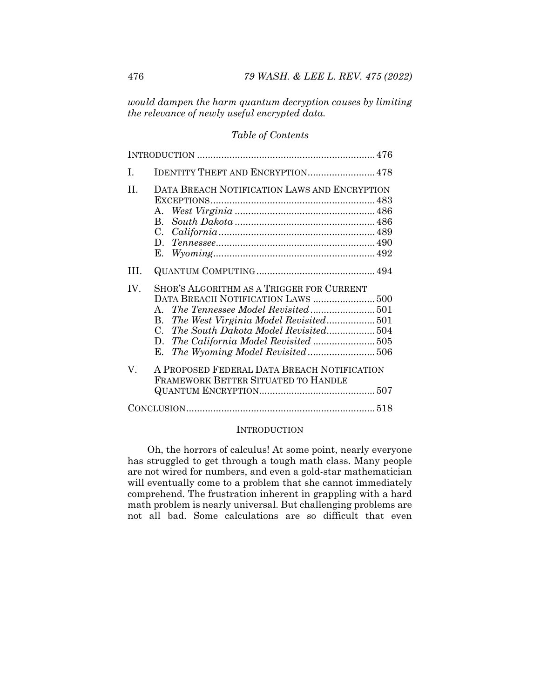*would dampen the harm quantum decryption causes by limiting the relevance of newly useful encrypted data.* 

# *Table of Contents*

| Ι.      | <b>IDENTITY THEFT AND ENCRYPTION 478</b>                                                                                               |  |
|---------|----------------------------------------------------------------------------------------------------------------------------------------|--|
| $\Pi$ . | DATA BREACH NOTIFICATION LAWS AND ENCRYPTION<br>A.<br>$B_{\cdot}$<br>C.<br>D.<br>Е.                                                    |  |
| HL.     |                                                                                                                                        |  |
| IV.     | SHOR'S ALGORITHM AS A TRIGGER FOR CURRENT<br>$\mathbf{A}$<br>$B_{-}$<br>$C_{\cdot}$<br>The South Dakota Model Revisited504<br>D.<br>Е. |  |
| V.      | A PROPOSED FEDERAL DATA BREACH NOTIFICATION<br>FRAMEWORK BETTER SITUATED TO HANDLE                                                     |  |
|         |                                                                                                                                        |  |

#### **INTRODUCTION**

Oh, the horrors of calculus! At some point, nearly everyone has struggled to get through a tough math class. Many people are not wired for numbers, and even a gold-star mathematician will eventually come to a problem that she cannot immediately comprehend. The frustration inherent in grappling with a hard math problem is nearly universal. But challenging problems are not all bad. Some calculations are so difficult that even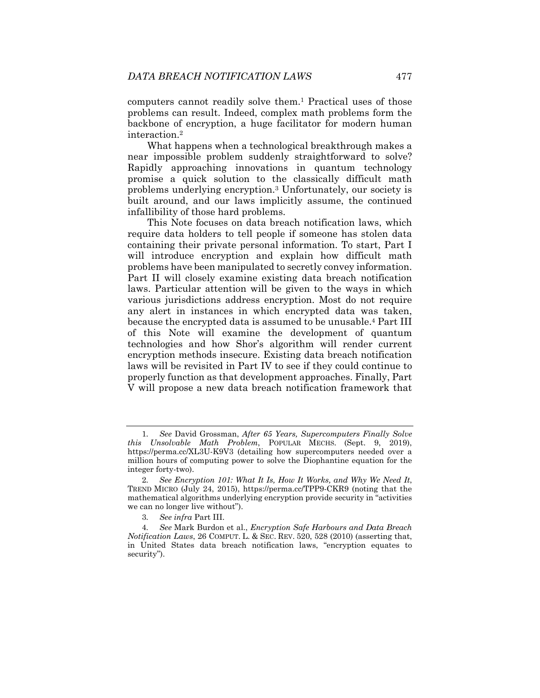computers cannot readily solve them.1 Practical uses of those problems can result. Indeed, complex math problems form the backbone of encryption, a huge facilitator for modern human interaction.2

What happens when a technological breakthrough makes a near impossible problem suddenly straightforward to solve? Rapidly approaching innovations in quantum technology promise a quick solution to the classically difficult math problems underlying encryption.3 Unfortunately, our society is built around, and our laws implicitly assume, the continued infallibility of those hard problems.

This Note focuses on data breach notification laws, which require data holders to tell people if someone has stolen data containing their private personal information. To start, Part I will introduce encryption and explain how difficult math problems have been manipulated to secretly convey information. Part II will closely examine existing data breach notification laws. Particular attention will be given to the ways in which various jurisdictions address encryption. Most do not require any alert in instances in which encrypted data was taken, because the encrypted data is assumed to be unusable.4 Part III of this Note will examine the development of quantum technologies and how Shor's algorithm will render current encryption methods insecure. Existing data breach notification laws will be revisited in Part IV to see if they could continue to properly function as that development approaches. Finally, Part V will propose a new data breach notification framework that

<sup>1</sup>*. See* David Grossman, *After 65 Years, Supercomputers Finally Solve this Unsolvable Math Problem*, POPULAR MECHS. (Sept. 9, 2019), https://perma.cc/XL3U-K9V3 (detailing how supercomputers needed over a million hours of computing power to solve the Diophantine equation for the integer forty-two).

<sup>2</sup>*. See Encryption 101: What It Is, How It Works, and Why We Need It*, TREND MICRO (July 24, 2015), https://perma.cc/TPP9-CKR9 (noting that the mathematical algorithms underlying encryption provide security in "activities we can no longer live without").

<sup>3</sup>*. See infra* Part III.

<sup>4</sup>*. See* Mark Burdon et al., *Encryption Safe Harbours and Data Breach Notification Laws*, 26 COMPUT. L. & SEC. REV. 520, 528 (2010) (asserting that, in United States data breach notification laws, "encryption equates to security").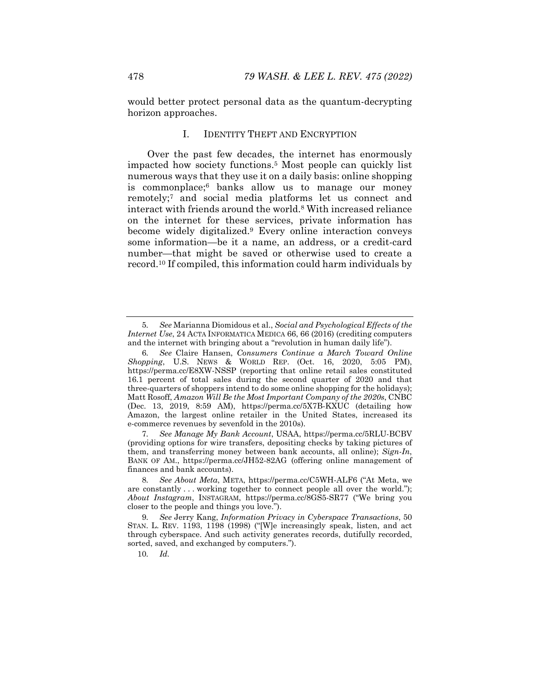would better protect personal data as the quantum-decrypting horizon approaches.

#### I. IDENTITY THEFT AND ENCRYPTION

Over the past few decades, the internet has enormously impacted how society functions.5 Most people can quickly list numerous ways that they use it on a daily basis: online shopping is commonplace;6 banks allow us to manage our money remotely;7 and social media platforms let us connect and interact with friends around the world.8 With increased reliance on the internet for these services, private information has become widely digitalized.9 Every online interaction conveys some information—be it a name, an address, or a credit-card number—that might be saved or otherwise used to create a record.10 If compiled, this information could harm individuals by

7*. See Manage My Bank Account*, USAA, https://perma.cc/5RLU-BCBV (providing options for wire transfers, depositing checks by taking pictures of them, and transferring money between bank accounts, all online); *Sign-In*, BANK OF AM., https://perma.cc/JH52-82AG (offering online management of finances and bank accounts).

10*. Id.* 

<sup>5</sup>*. See* Marianna Diomidous et al., *Social and Psychological Effects of the Internet Use*, 24 ACTA INFORMATICA MEDICA 66, 66 (2016) (crediting computers and the internet with bringing about a "revolution in human daily life").

<sup>6</sup>*. See* Claire Hansen, *Consumers Continue a March Toward Online Shopping*, U.S. NEWS & WORLD REP. (Oct. 16, 2020, 5:05 PM), https://perma.cc/E8XW-NSSP (reporting that online retail sales constituted 16.1 percent of total sales during the second quarter of 2020 and that three-quarters of shoppers intend to do some online shopping for the holidays); Matt Rosoff, *Amazon Will Be the Most Important Company of the 2020s*, CNBC (Dec. 13, 2019, 8:59 AM), https://perma.cc/5X7B-KXUC (detailing how Amazon, the largest online retailer in the United States, increased its e-commerce revenues by sevenfold in the 2010s).

<sup>8</sup>*. See About Meta*, META, https://perma.cc/C5WH-ALF6 ("At Meta, we are constantly . . . working together to connect people all over the world."); *About Instagram*, INSTAGRAM, https://perma.cc/8GS5-SR77 ("We bring you closer to the people and things you love.").

<sup>9</sup>*. See* Jerry Kang, *Information Privacy in Cyberspace Transactions*, 50 STAN. L. REV. 1193, 1198 (1998) ("[W]e increasingly speak, listen, and act through cyberspace. And such activity generates records, dutifully recorded, sorted, saved, and exchanged by computers.").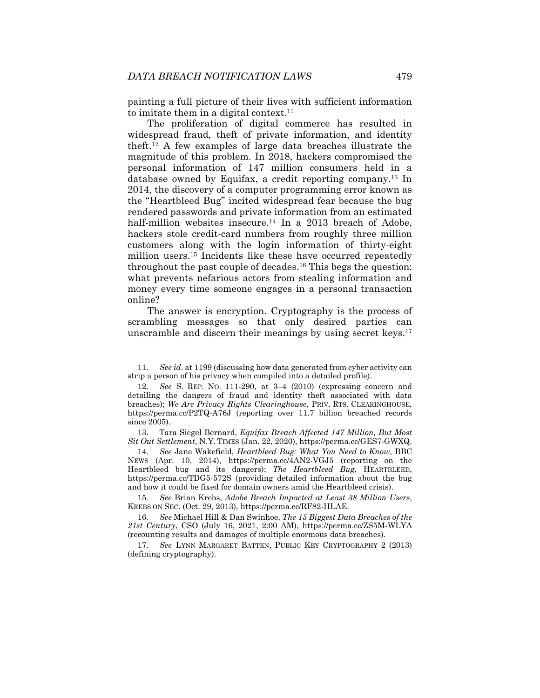painting a full picture of their lives with sufficient information to imitate them in a digital context.<sup>11</sup>

The proliferation of digital commerce has resulted in widespread fraud, theft of private information, and identity theft.12 A few examples of large data breaches illustrate the magnitude of this problem. In 2018, hackers compromised the personal information of 147 million consumers held in a database owned by Equifax, a credit reporting company.13 In 2014, the discovery of a computer programming error known as the "Heartbleed Bug" incited widespread fear because the bug rendered passwords and private information from an estimated half-million websites insecure.<sup>14</sup> In a 2013 breach of Adobe, hackers stole credit-card numbers from roughly three million customers along with the login information of thirty-eight million users.15 Incidents like these have occurred repeatedly throughout the past couple of decades.16 This begs the question: what prevents nefarious actors from stealing information and money every time someone engages in a personal transaction online?

The answer is encryption. Cryptography is the process of scrambling messages so that only desired parties can unscramble and discern their meanings by using secret keys.<sup>17</sup>

 13. Tara Siegel Bernard, *Equifax Breach Affected 147 Million, But Most Sit Out Settlement*, N.Y. TIMES (Jan. 22, 2020), https://perma.cc/GES7-GWXQ.

14*. See* Jane Wakefield, *Heartbleed Bug: What You Need to Know*, BBC NEWS (Apr. 10, 2014), https://perma.cc/4AN2-VGJ5 (reporting on the Heartbleed bug and its dangers); *The Heartbleed Bug*, HEARTBLEED, https://perma.cc/TDG5-572S (providing detailed information about the bug and how it could be fixed for domain owners amid the Heartbleed crisis).

15*. See* Brian Krebs, *Adobe Breach Impacted at Least 38 Million Users*, KREBS ON SEC. (Oct. 29, 2013), https://perma.cc/RF82-HLAE.

16*. See* Michael Hill & Dan Swinhoe, *The 15 Biggest Data Breaches of the 21st Century*, CSO (July 16, 2021, 2:00 AM), https://perma.cc/ZS5M-WLYA (recounting results and damages of multiple enormous data breaches).

17*. See* LYNN MARGARET BATTEN, PUBLIC KEY CRYPTOGRAPHY 2 (2013) (defining cryptography).

<sup>11</sup>*. See id*. at 1199 (discussing how data generated from cyber activity can strip a person of his privacy when compiled into a detailed profile).

<sup>12</sup>*. See* S. REP. NO. 111-290, at 3–4 (2010) (expressing concern and detailing the dangers of fraud and identity theft associated with data breaches); *We Are Privacy Rights Clearinghouse*, PRIV. RTS. CLEARINGHOUSE, https://perma.cc/P2TQ-A76J (reporting over 11.7 billion breached records since 2005).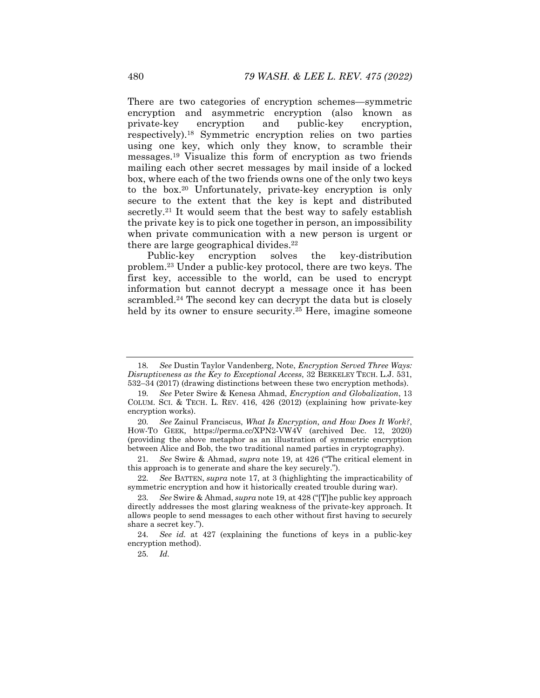There are two categories of encryption schemes—symmetric encryption and asymmetric encryption (also known as private-key encryption and public-key encryption, respectively).18 Symmetric encryption relies on two parties using one key, which only they know, to scramble their messages.19 Visualize this form of encryption as two friends mailing each other secret messages by mail inside of a locked box, where each of the two friends owns one of the only two keys to the box.20 Unfortunately, private-key encryption is only secure to the extent that the key is kept and distributed secretly.<sup>21</sup> It would seem that the best way to safely establish the private key is to pick one together in person, an impossibility when private communication with a new person is urgent or there are large geographical divides.<sup>22</sup>

Public-key encryption solves the key-distribution problem.23 Under a public-key protocol, there are two keys. The first key, accessible to the world, can be used to encrypt information but cannot decrypt a message once it has been scrambled.<sup>24</sup> The second key can decrypt the data but is closely held by its owner to ensure security.<sup>25</sup> Here, imagine someone

21*. See* Swire & Ahmad, *supra* note 19, at 426 ("The critical element in this approach is to generate and share the key securely.").

22*. See* BATTEN, *supra* note 17, at 3 (highlighting the impracticability of symmetric encryption and how it historically created trouble during war).

<sup>18</sup>*. See* Dustin Taylor Vandenberg, Note, *Encryption Served Three Ways: Disruptiveness as the Key to Exceptional Access*, 32 BERKELEY TECH. L.J. 531, 532–34 (2017) (drawing distinctions between these two encryption methods).

<sup>19</sup>*. See* Peter Swire & Kenesa Ahmad, *Encryption and Globalization*, 13 COLUM. SCI. & TECH. L. REV. 416, 426 (2012) (explaining how private-key encryption works).

<sup>20</sup>*. See* Zainul Franciscus, *What Is Encryption, and How Does It Work?*, HOW-TO GEEK, https://perma.cc/XPN2-VW4V (archived Dec. 12, 2020) (providing the above metaphor as an illustration of symmetric encryption between Alice and Bob, the two traditional named parties in cryptography).

<sup>23</sup>*. See* Swire & Ahmad, *supra* note 19, at 428 ("[T]he public key approach directly addresses the most glaring weakness of the private-key approach. It allows people to send messages to each other without first having to securely share a secret key.").

<sup>24</sup>*. See id.* at 427 (explaining the functions of keys in a public-key encryption method).

<sup>25</sup>*. Id.*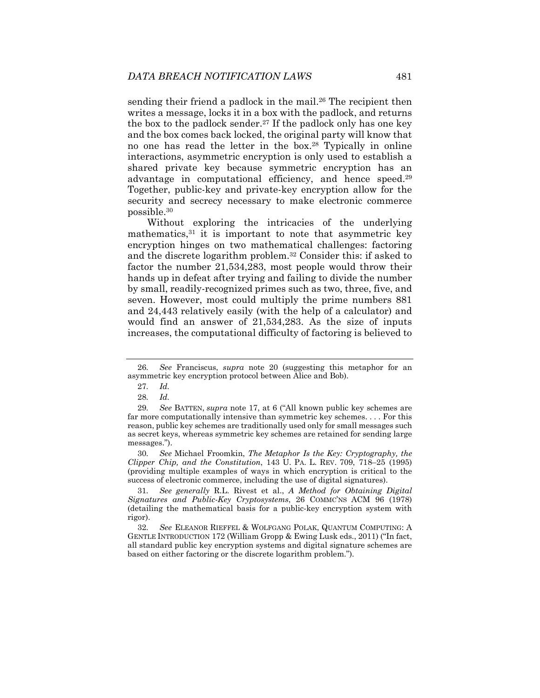sending their friend a padlock in the mail.<sup>26</sup> The recipient then writes a message, locks it in a box with the padlock, and returns the box to the padlock sender.27 If the padlock only has one key and the box comes back locked, the original party will know that no one has read the letter in the box.28 Typically in online interactions, asymmetric encryption is only used to establish a shared private key because symmetric encryption has an advantage in computational efficiency, and hence speed.29 Together, public-key and private-key encryption allow for the security and secrecy necessary to make electronic commerce possible.30

Without exploring the intricacies of the underlying mathematics, $31$  it is important to note that asymmetric key encryption hinges on two mathematical challenges: factoring and the discrete logarithm problem.32 Consider this: if asked to factor the number 21,534,283, most people would throw their hands up in defeat after trying and failing to divide the number by small, readily-recognized primes such as two, three, five, and seven. However, most could multiply the prime numbers 881 and 24,443 relatively easily (with the help of a calculator) and would find an answer of 21,534,283. As the size of inputs increases, the computational difficulty of factoring is believed to

30*. See* Michael Froomkin, *The Metaphor Is the Key: Cryptography, the Clipper Chip, and the Constitution*, 143 U. PA. L. REV. 709, 718–25 (1995) (providing multiple examples of ways in which encryption is critical to the success of electronic commerce, including the use of digital signatures).

<sup>26</sup>*. See* Franciscus, *supra* note 20 (suggesting this metaphor for an asymmetric key encryption protocol between Alice and Bob).

<sup>27</sup>*. Id.*

<sup>28</sup>*. Id.*

<sup>29</sup>*. See* BATTEN, *supra* note 17, at 6 ("All known public key schemes are far more computationally intensive than symmetric key schemes. . . . For this reason, public key schemes are traditionally used only for small messages such as secret keys, whereas symmetric key schemes are retained for sending large messages.").

<sup>31</sup>*. See generally* R.L. Rivest et al., *A Method for Obtaining Digital Signatures and Public-Key Cryptosystems*, 26 COMMC'NS ACM 96 (1978) (detailing the mathematical basis for a public-key encryption system with rigor).

<sup>32</sup>*. See* ELEANOR RIEFFEL & WOLFGANG POLAK, QUANTUM COMPUTING: A GENTLE INTRODUCTION 172 (William Gropp & Ewing Lusk eds., 2011) ("In fact, all standard public key encryption systems and digital signature schemes are based on either factoring or the discrete logarithm problem.").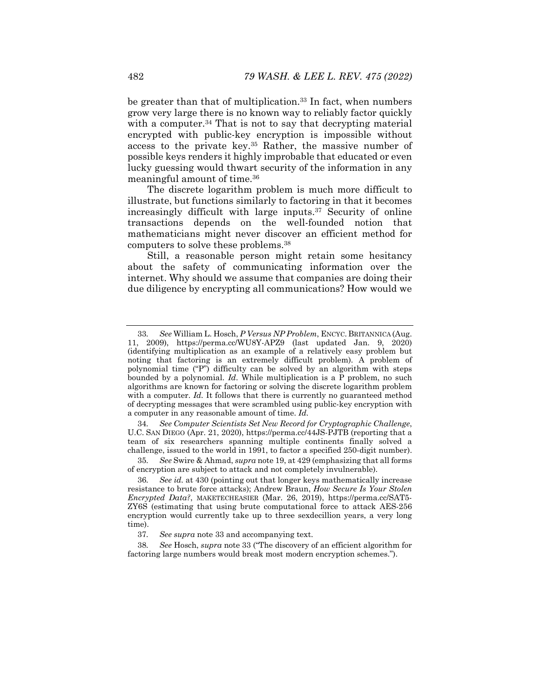be greater than that of multiplication.<sup>33</sup> In fact, when numbers grow very large there is no known way to reliably factor quickly with a computer.<sup>34</sup> That is not to say that decrypting material encrypted with public-key encryption is impossible without access to the private key.35 Rather, the massive number of possible keys renders it highly improbable that educated or even lucky guessing would thwart security of the information in any meaningful amount of time.36

The discrete logarithm problem is much more difficult to illustrate, but functions similarly to factoring in that it becomes increasingly difficult with large inputs.37 Security of online transactions depends on the well-founded notion that mathematicians might never discover an efficient method for computers to solve these problems.38

Still, a reasonable person might retain some hesitancy about the safety of communicating information over the internet. Why should we assume that companies are doing their due diligence by encrypting all communications? How would we

34*. See Computer Scientists Set New Record for Cryptographic Challenge*, U.C. SAN DIEGO (Apr. 21, 2020), https://perma.cc/44JS-PJTB (reporting that a team of six researchers spanning multiple continents finally solved a challenge, issued to the world in 1991, to factor a specified 250-digit number).

35*. See* Swire & Ahmad, *supra* note 19, at 429 (emphasizing that all forms of encryption are subject to attack and not completely invulnerable).

<sup>33</sup>*. See* William L. Hosch, *P Versus NP Problem*, ENCYC. BRITANNICA (Aug. 11, 2009), https://perma.cc/WU8Y-APZ9 (last updated Jan. 9, 2020) (identifying multiplication as an example of a relatively easy problem but noting that factoring is an extremely difficult problem). A problem of polynomial time ("P") difficulty can be solved by an algorithm with steps bounded by a polynomial. *Id*. While multiplication is a P problem, no such algorithms are known for factoring or solving the discrete logarithm problem with a computer. *Id.* It follows that there is currently no guaranteed method of decrypting messages that were scrambled using public-key encryption with a computer in any reasonable amount of time. *Id.*

<sup>36</sup>*. See id.* at 430 (pointing out that longer keys mathematically increase resistance to brute force attacks); Andrew Braun, *How Secure Is Your Stolen Encrypted Data?*, MAKETECHEASIER (Mar. 26, 2019), https://perma.cc/SAT5- ZY6S (estimating that using brute computational force to attack AES-256 encryption would currently take up to three sexdecillion years, a very long time).

<sup>37</sup>*. See supra* note 33 and accompanying text.

<sup>38</sup>*. See* Hosch, *supra* note 33 ("The discovery of an efficient algorithm for factoring large numbers would break most modern encryption schemes.").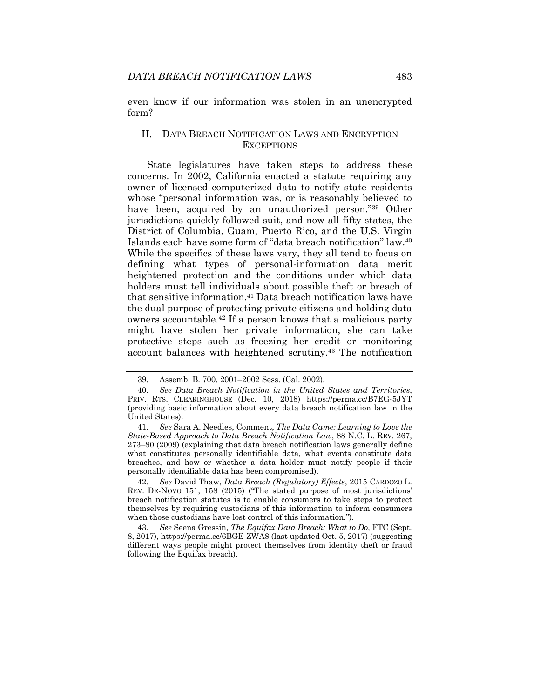even know if our information was stolen in an unencrypted form?

#### II. DATA BREACH NOTIFICATION LAWS AND ENCRYPTION **EXCEPTIONS**

State legislatures have taken steps to address these concerns. In 2002, California enacted a statute requiring any owner of licensed computerized data to notify state residents whose "personal information was, or is reasonably believed to have been, acquired by an unauthorized person."39 Other jurisdictions quickly followed suit, and now all fifty states, the District of Columbia, Guam, Puerto Rico, and the U.S. Virgin Islands each have some form of "data breach notification" law.40 While the specifics of these laws vary, they all tend to focus on defining what types of personal-information data merit heightened protection and the conditions under which data holders must tell individuals about possible theft or breach of that sensitive information.41 Data breach notification laws have the dual purpose of protecting private citizens and holding data owners accountable.42 If a person knows that a malicious party might have stolen her private information, she can take protective steps such as freezing her credit or monitoring account balances with heightened scrutiny.43 The notification

41*. See* Sara A. Needles, Comment, *The Data Game: Learning to Love the State-Based Approach to Data Breach Notification Law*, 88 N.C. L. REV. 267, 273–80 (2009) (explaining that data breach notification laws generally define what constitutes personally identifiable data, what events constitute data breaches, and how or whether a data holder must notify people if their personally identifiable data has been compromised).

42*. See* David Thaw, *Data Breach (Regulatory) Effects*, 2015 CARDOZO L. REV. DE-NOVO 151, 158 (2015) ("The stated purpose of most jurisdictions' breach notification statutes is to enable consumers to take steps to protect themselves by requiring custodians of this information to inform consumers when those custodians have lost control of this information.").

43*. See* Seena Gressin, *The Equifax Data Breach: What to Do*, FTC (Sept. 8, 2017), https://perma.cc/6BGE-ZWA8 (last updated Oct. 5, 2017) (suggesting different ways people might protect themselves from identity theft or fraud following the Equifax breach).

 <sup>39.</sup> Assemb. B. 700, 2001–2002 Sess. (Cal. 2002).

<sup>40</sup>*. See Data Breach Notification in the United States and Territories*, PRIV. RTS. CLEARINGHOUSE (Dec. 10, 2018) https://perma.cc/B7EG-5JYT (providing basic information about every data breach notification law in the United States).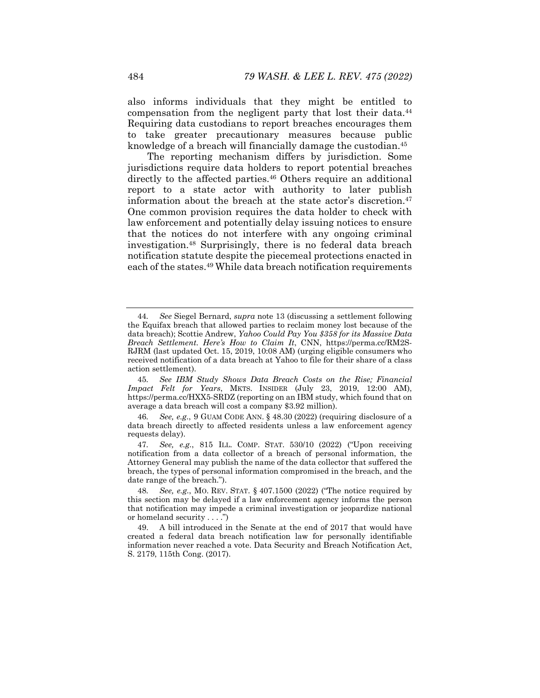also informs individuals that they might be entitled to compensation from the negligent party that lost their data.<sup>44</sup> Requiring data custodians to report breaches encourages them to take greater precautionary measures because public knowledge of a breach will financially damage the custodian.45

The reporting mechanism differs by jurisdiction. Some jurisdictions require data holders to report potential breaches directly to the affected parties.<sup>46</sup> Others require an additional report to a state actor with authority to later publish information about the breach at the state actor's discretion.<sup>47</sup> One common provision requires the data holder to check with law enforcement and potentially delay issuing notices to ensure that the notices do not interfere with any ongoing criminal investigation.48 Surprisingly, there is no federal data breach notification statute despite the piecemeal protections enacted in each of the states.<sup>49</sup> While data breach notification requirements

<sup>44</sup>*. See* Siegel Bernard, *supra* note 13 (discussing a settlement following the Equifax breach that allowed parties to reclaim money lost because of the data breach); Scottie Andrew, *Yahoo Could Pay You \$358 for its Massive Data Breach Settlement. Here's How to Claim It*, CNN, https://perma.cc/RM2S-RJRM (last updated Oct. 15, 2019, 10:08 AM) (urging eligible consumers who received notification of a data breach at Yahoo to file for their share of a class action settlement).

<sup>45</sup>*. See IBM Study Shows Data Breach Costs on the Rise; Financial Impact Felt for Years*, MKTS. INSIDER (July 23, 2019, 12:00 AM), https://perma.cc/HXX5-SRDZ (reporting on an IBM study, which found that on average a data breach will cost a company \$3.92 million).

<sup>46</sup>*. See, e.g.*, 9 GUAM CODE ANN. § 48.30 (2022) (requiring disclosure of a data breach directly to affected residents unless a law enforcement agency requests delay).

<sup>47</sup>*. See, e.g.*, 815 ILL. COMP. STAT. 530/10 (2022) ("Upon receiving notification from a data collector of a breach of personal information, the Attorney General may publish the name of the data collector that suffered the breach, the types of personal information compromised in the breach, and the date range of the breach.").

<sup>48</sup>*. See, e.g.*, MO. REV. STAT. § 407.1500 (2022) ("The notice required by this section may be delayed if a law enforcement agency informs the person that notification may impede a criminal investigation or jeopardize national or homeland security . . . .")

 <sup>49.</sup> A bill introduced in the Senate at the end of 2017 that would have created a federal data breach notification law for personally identifiable information never reached a vote. Data Security and Breach Notification Act, S. 2179, 115th Cong. (2017).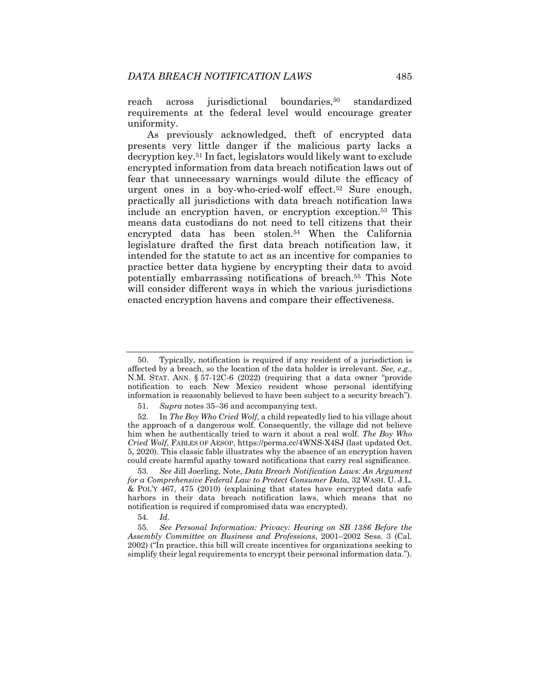reach across jurisdictional boundaries,50 standardized requirements at the federal level would encourage greater uniformity.

As previously acknowledged, theft of encrypted data presents very little danger if the malicious party lacks a decryption key.51 In fact, legislators would likely want to exclude encrypted information from data breach notification laws out of fear that unnecessary warnings would dilute the efficacy of urgent ones in a boy-who-cried-wolf effect.<sup>52</sup> Sure enough, practically all jurisdictions with data breach notification laws include an encryption haven, or encryption exception.53 This means data custodians do not need to tell citizens that their encrypted data has been stolen.<sup>54</sup> When the California legislature drafted the first data breach notification law, it intended for the statute to act as an incentive for companies to practice better data hygiene by encrypting their data to avoid potentially embarrassing notifications of breach.55 This Note will consider different ways in which the various jurisdictions enacted encryption havens and compare their effectiveness.

54*. Id.*

55*. See Personal Information: Privacy: Hearing on SB 1386 Before the Assembly Committee on Business and Professions*, 2001–2002 Sess. 3 (Cal. 2002) ("In practice, this bill will create incentives for organizations seeking to simplify their legal requirements to encrypt their personal information data.").

 <sup>50.</sup> Typically, notification is required if any resident of a jurisdiction is affected by a breach, so the location of the data holder is irrelevant. *See, e.g.*, N.M. STAT. ANN. § 57-12C-6 (2022) (requiring that a data owner "provide notification to each New Mexico resident whose personal identifying information is reasonably believed to have been subject to a security breach").

<sup>51</sup>*. Supra* notes 35–36 and accompanying text.

 <sup>52.</sup> In *The Boy Who Cried Wolf*, a child repeatedly lied to his village about the approach of a dangerous wolf. Consequently, the village did not believe him when he authentically tried to warn it about a real wolf. *The Boy Who Cried Wolf*, FABLES OF AESOP, https://perma.cc/4WNS-X4SJ (last updated Oct. 5, 2020). This classic fable illustrates why the absence of an encryption haven could create harmful apathy toward notifications that carry real significance.

<sup>53</sup>*. See* Jill Joerling, Note, *Data Breach Notification Laws: An Argument for a Comprehensive Federal Law to Protect Consumer Data*, 32 WASH. U. J.L.  $\&$  POL'Y 467, 475 (2010) (explaining that states have encrypted data safe harbors in their data breach notification laws, which means that no notification is required if compromised data was encrypted).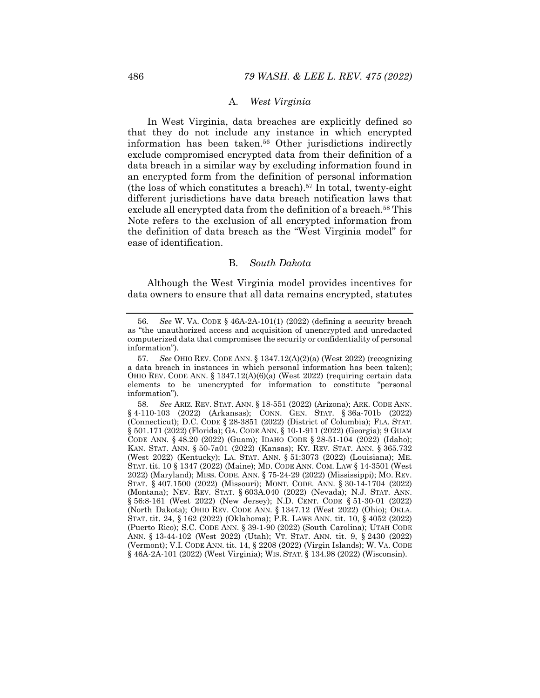#### A. *West Virginia*

In West Virginia, data breaches are explicitly defined so that they do not include any instance in which encrypted information has been taken.56 Other jurisdictions indirectly exclude compromised encrypted data from their definition of a data breach in a similar way by excluding information found in an encrypted form from the definition of personal information (the loss of which constitutes a breach).57 In total, twenty-eight different jurisdictions have data breach notification laws that exclude all encrypted data from the definition of a breach.<sup>58</sup> This Note refers to the exclusion of all encrypted information from the definition of data breach as the "West Virginia model" for ease of identification.

#### B. *South Dakota*

Although the West Virginia model provides incentives for data owners to ensure that all data remains encrypted, statutes

<sup>56</sup>*. See* W. VA. CODE § 46A-2A-101(1) (2022) (defining a security breach as "the unauthorized access and acquisition of unencrypted and unredacted computerized data that compromises the security or confidentiality of personal information").

<sup>57</sup>*. See* OHIO REV. CODE ANN. § 1347.12(A)(2)(a) (West 2022) (recognizing a data breach in instances in which personal information has been taken); OHIO REV. CODE ANN. § 1347.12(A)(6)(a) (West 2022) (requiring certain data elements to be unencrypted for information to constitute "personal information").

<sup>58</sup>*. See* ARIZ. REV. STAT. ANN. § 18-551 (2022) (Arizona); ARK. CODE ANN. § 4-110-103 (2022) (Arkansas); CONN. GEN. STAT. § 36a-701b (2022) (Connecticut); D.C. CODE § 28-3851 (2022) (District of Columbia); FLA. STAT. § 501.171 (2022) (Florida); GA. CODE ANN. § 10-1-911 (2022) (Georgia); 9 GUAM CODE ANN. § 48.20 (2022) (Guam); IDAHO CODE § 28-51-104 (2022) (Idaho); KAN. STAT. ANN. § 50-7a01 (2022) (Kansas); KY. REV. STAT. ANN. § 365.732 (West 2022) (Kentucky); LA. STAT. ANN. § 51:3073 (2022) (Louisiana); ME. STAT. tit. 10 § 1347 (2022) (Maine); MD. CODE ANN. COM. LAW § 14-3501 (West 2022) (Maryland); MISS. CODE. ANN. § 75-24-29 (2022) (Mississippi); MO. REV. STAT. § 407.1500 (2022) (Missouri); MONT. CODE. ANN. § 30-14-1704 (2022) (Montana); NEV. REV. STAT. § 603A.040 (2022) (Nevada); N.J. STAT. ANN. § 56:8-161 (West 2022) (New Jersey); N.D. CENT. CODE § 51-30-01 (2022) (North Dakota); OHIO REV. CODE ANN. § 1347.12 (West 2022) (Ohio); OKLA. STAT. tit. 24, § 162 (2022) (Oklahoma); P.R. LAWS ANN. tit. 10, § 4052 (2022) (Puerto Rico); S.C. CODE ANN. § 39-1-90 (2022) (South Carolina); UTAH CODE ANN. § 13-44-102 (West 2022) (Utah); VT. STAT. ANN. tit. 9, § 2430 (2022) (Vermont); V.I. CODE ANN. tit. 14, § 2208 (2022) (Virgin Islands); W. VA. CODE § 46A-2A-101 (2022) (West Virginia); WIS. STAT. § 134.98 (2022) (Wisconsin).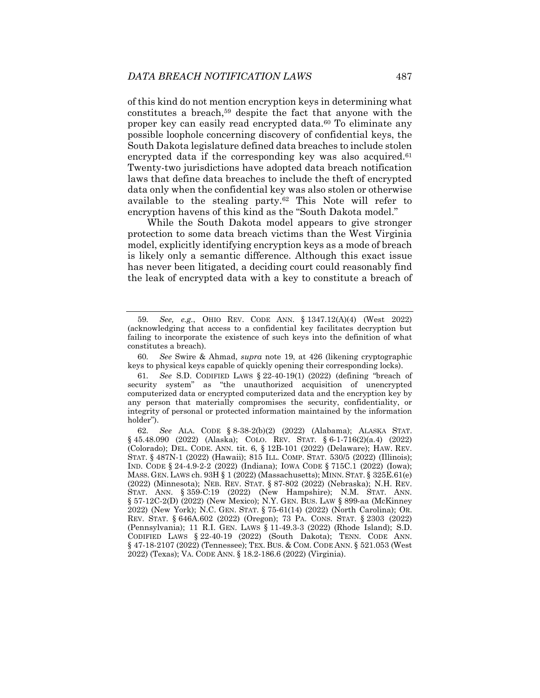of this kind do not mention encryption keys in determining what constitutes a breach,<sup>59</sup> despite the fact that anyone with the proper key can easily read encrypted data.60 To eliminate any possible loophole concerning discovery of confidential keys, the South Dakota legislature defined data breaches to include stolen encrypted data if the corresponding key was also acquired.<sup>61</sup> Twenty-two jurisdictions have adopted data breach notification laws that define data breaches to include the theft of encrypted data only when the confidential key was also stolen or otherwise available to the stealing party.62 This Note will refer to encryption havens of this kind as the "South Dakota model."

While the South Dakota model appears to give stronger protection to some data breach victims than the West Virginia model, explicitly identifying encryption keys as a mode of breach is likely only a semantic difference. Although this exact issue has never been litigated, a deciding court could reasonably find the leak of encrypted data with a key to constitute a breach of

60*. See* Swire & Ahmad, *supra* note 19, at 426 (likening cryptographic keys to physical keys capable of quickly opening their corresponding locks).

<sup>59</sup>*. See, e.g.*, OHIO REV. CODE ANN. § 1347.12(A)(4) (West 2022) (acknowledging that access to a confidential key facilitates decryption but failing to incorporate the existence of such keys into the definition of what constitutes a breach).

<sup>61</sup>*. See* S.D. CODIFIED LAWS § 22-40-19(1) (2022) (defining "breach of security system" as "the unauthorized acquisition of unencrypted computerized data or encrypted computerized data and the encryption key by any person that materially compromises the security, confidentiality, or integrity of personal or protected information maintained by the information holder").

<sup>62</sup>*. See* ALA. CODE § 8-38-2(b)(2) (2022) (Alabama); ALASKA STAT. § 45.48.090 (2022) (Alaska); COLO. REV. STAT. § 6-1-716(2)(a.4) (2022) (Colorado); DEL. CODE. ANN. tit. 6, § 12B-101 (2022) (Delaware); HAW. REV. STAT. § 487N-1 (2022) (Hawaii); 815 ILL. COMP. STAT. 530/5 (2022) (Illinois); IND. CODE § 24-4.9-2-2 (2022) (Indiana); IOWA CODE § 715C.1 (2022) (Iowa); MASS. GEN. LAWS ch. 93H § 1 (2022) (Massachusetts); MINN. STAT. § 325E.61(e) (2022) (Minnesota); NEB. REV. STAT. § 87-802 (2022) (Nebraska); N.H. REV. STAT. ANN. § 359-C:19 (2022) (New Hampshire); N.M. STAT. ANN. § 57-12C-2(D) (2022) (New Mexico); N.Y. GEN. BUS. LAW § 899-aa (McKinney 2022) (New York); N.C. GEN. STAT. § 75-61(14) (2022) (North Carolina); OR. REV. STAT. § 646A.602 (2022) (Oregon); 73 PA. CONS. STAT. § 2303 (2022) (Pennsylvania); 11 R.I. GEN. LAWS § 11-49.3-3 (2022) (Rhode Island); S.D. CODIFIED LAWS § 22-40-19 (2022) (South Dakota); TENN. CODE ANN. § 47-18-2107 (2022) (Tennessee); TEX. BUS. & COM. CODE ANN. § 521.053 (West 2022) (Texas); VA. CODE ANN. § 18.2-186.6 (2022) (Virginia).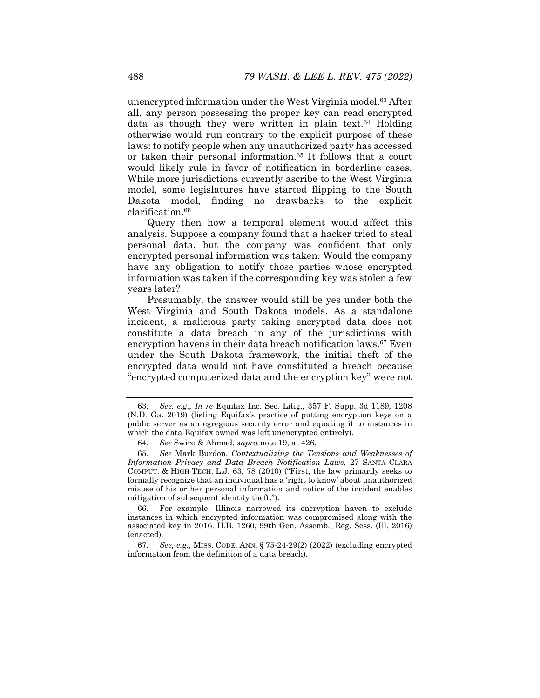unencrypted information under the West Virginia model.<sup>63</sup> After all, any person possessing the proper key can read encrypted data as though they were written in plain text.64 Holding otherwise would run contrary to the explicit purpose of these laws: to notify people when any unauthorized party has accessed or taken their personal information.65 It follows that a court would likely rule in favor of notification in borderline cases. While more jurisdictions currently ascribe to the West Virginia model, some legislatures have started flipping to the South Dakota model, finding no drawbacks to the explicit clarification.66

Query then how a temporal element would affect this analysis. Suppose a company found that a hacker tried to steal personal data, but the company was confident that only encrypted personal information was taken. Would the company have any obligation to notify those parties whose encrypted information was taken if the corresponding key was stolen a few years later?

Presumably, the answer would still be yes under both the West Virginia and South Dakota models. As a standalone incident, a malicious party taking encrypted data does not constitute a data breach in any of the jurisdictions with encryption havens in their data breach notification laws.<sup>67</sup> Even under the South Dakota framework, the initial theft of the encrypted data would not have constituted a breach because "encrypted computerized data and the encryption key" were not

65*. See* Mark Burdon, *Contextualizing the Tensions and Weaknesses of Information Privacy and Data Breach Notification Laws*, 27 SANTA CLARA COMPUT. & HIGH TECH. L.J. 63, 78 (2010) ("First, the law primarily seeks to formally recognize that an individual has a 'right to know' about unauthorized misuse of his or her personal information and notice of the incident enables mitigation of subsequent identity theft.").

 66. For example, Illinois narrowed its encryption haven to exclude instances in which encrypted information was compromised along with the associated key in 2016. H.B. 1260, 99th Gen. Assemb., Reg. Sess. (Ill. 2016) (enacted).

67*. See, e.g.*, MISS. CODE. ANN. § 75-24-29(2) (2022) (excluding encrypted information from the definition of a data breach).

<sup>63</sup>*. See, e.g.*, *In re* Equifax Inc. Sec. Litig., 357 F. Supp. 3d 1189, 1208 (N.D. Ga. 2019) (listing Equifax's practice of putting encryption keys on a public server as an egregious security error and equating it to instances in which the data Equifax owned was left unencrypted entirely).

<sup>64</sup>*. See* Swire & Ahmad, *supra* note 19, at 426.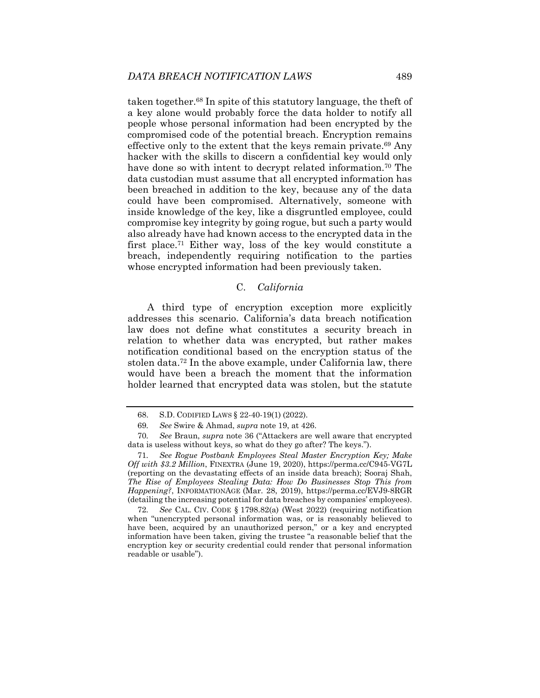taken together.68 In spite of this statutory language, the theft of a key alone would probably force the data holder to notify all people whose personal information had been encrypted by the compromised code of the potential breach. Encryption remains effective only to the extent that the keys remain private.<sup>69</sup> Any hacker with the skills to discern a confidential key would only have done so with intent to decrypt related information.<sup>70</sup> The data custodian must assume that all encrypted information has been breached in addition to the key, because any of the data could have been compromised. Alternatively, someone with inside knowledge of the key, like a disgruntled employee, could compromise key integrity by going rogue, but such a party would also already have had known access to the encrypted data in the first place.<sup>71</sup> Either way, loss of the key would constitute a breach, independently requiring notification to the parties whose encrypted information had been previously taken.

### C. *California*

A third type of encryption exception more explicitly addresses this scenario. California's data breach notification law does not define what constitutes a security breach in relation to whether data was encrypted, but rather makes notification conditional based on the encryption status of the stolen data.72 In the above example, under California law, there would have been a breach the moment that the information holder learned that encrypted data was stolen, but the statute

 <sup>68.</sup> S.D. CODIFIED LAWS § 22-40-19(1) (2022).

<sup>69</sup>*. See* Swire & Ahmad, *supra* note 19, at 426.

<sup>70</sup>*. See* Braun, *supra* note 36 ("Attackers are well aware that encrypted data is useless without keys, so what do they go after? The keys.").

<sup>71</sup>*. See Rogue Postbank Employees Steal Master Encryption Key; Make Off with \$3.2 Million*, FINEXTRA (June 19, 2020), https://perma.cc/C945-VG7L (reporting on the devastating effects of an inside data breach); Sooraj Shah, *The Rise of Employees Stealing Data: How Do Businesses Stop This from Happening?*, INFORMATIONAGE (Mar. 28, 2019), https://perma.cc/EVJ9-8RGR (detailing the increasing potential for data breaches by companies' employees).

<sup>72</sup>*. See* CAL. CIV. CODE § 1798.82(a) (West 2022) (requiring notification when "unencrypted personal information was, or is reasonably believed to have been, acquired by an unauthorized person," or a key and encrypted information have been taken, giving the trustee "a reasonable belief that the encryption key or security credential could render that personal information readable or usable").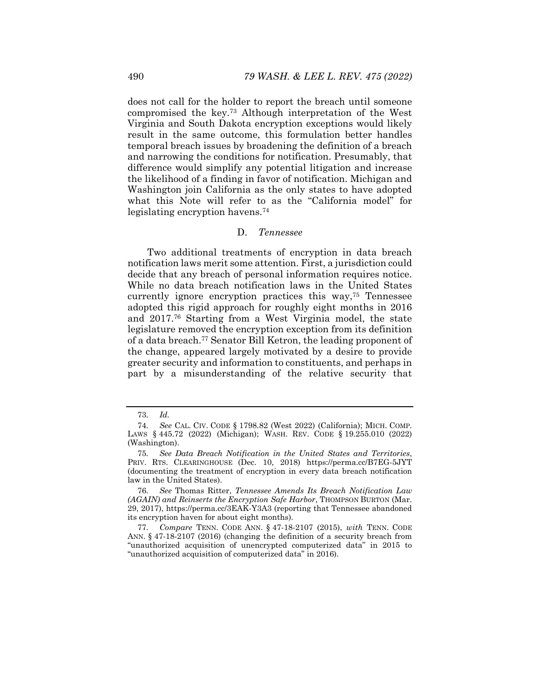does not call for the holder to report the breach until someone compromised the key.73 Although interpretation of the West Virginia and South Dakota encryption exceptions would likely result in the same outcome, this formulation better handles temporal breach issues by broadening the definition of a breach and narrowing the conditions for notification. Presumably, that difference would simplify any potential litigation and increase the likelihood of a finding in favor of notification. Michigan and Washington join California as the only states to have adopted what this Note will refer to as the "California model" for legislating encryption havens.74

#### D. *Tennessee*

Two additional treatments of encryption in data breach notification laws merit some attention. First, a jurisdiction could decide that any breach of personal information requires notice. While no data breach notification laws in the United States currently ignore encryption practices this way,75 Tennessee adopted this rigid approach for roughly eight months in 2016 and 2017.76 Starting from a West Virginia model, the state legislature removed the encryption exception from its definition of a data breach.77 Senator Bill Ketron, the leading proponent of the change, appeared largely motivated by a desire to provide greater security and information to constituents, and perhaps in part by a misunderstanding of the relative security that

<sup>73</sup>*. Id.*

<sup>74</sup>*. See* CAL. CIV. CODE § 1798.82 (West 2022) (California); MICH. COMP. LAWS § 445.72 (2022) (Michigan); WASH. REV. CODE § 19.255.010 (2022) (Washington).

<sup>75</sup>*. See Data Breach Notification in the United States and Territories*, PRIV. RTS. CLEARINGHOUSE (Dec. 10, 2018) https://perma.cc/B7EG-5JYT (documenting the treatment of encryption in every data breach notification law in the United States).

<sup>76</sup>*. See* Thomas Ritter, *Tennessee Amends Its Breach Notification Law (AGAIN) and Reinserts the Encryption Safe Harbor*, THOMPSON BURTON (Mar. 29, 2017), https://perma.cc/3EAK-Y3A3 (reporting that Tennessee abandoned its encryption haven for about eight months).

<sup>77</sup>*. Compare* TENN. CODE ANN. § 47-18-2107 (2015), *with* TENN. CODE ANN. § 47-18-2107 (2016) (changing the definition of a security breach from "unauthorized acquisition of unencrypted computerized data" in 2015 to "unauthorized acquisition of computerized data" in 2016).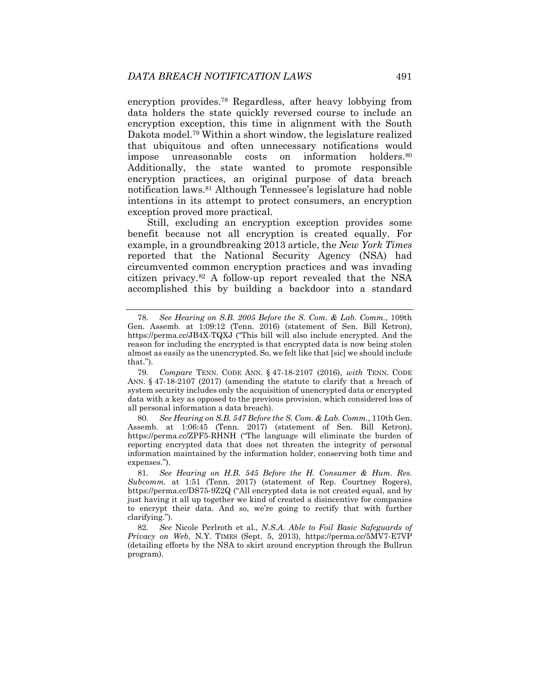encryption provides.78 Regardless, after heavy lobbying from data holders the state quickly reversed course to include an encryption exception, this time in alignment with the South Dakota model.79 Within a short window, the legislature realized that ubiquitous and often unnecessary notifications would impose unreasonable costs on information holders.<sup>80</sup> Additionally, the state wanted to promote responsible encryption practices, an original purpose of data breach notification laws.81 Although Tennessee's legislature had noble intentions in its attempt to protect consumers, an encryption exception proved more practical.

Still, excluding an encryption exception provides some benefit because not all encryption is created equally. For example, in a groundbreaking 2013 article, the *New York Times* reported that the National Security Agency (NSA) had circumvented common encryption practices and was invading citizen privacy.82 A follow-up report revealed that the NSA accomplished this by building a backdoor into a standard

80*. See Hearing on S.B. 547 Before the S. Com. & Lab. Comm.*, 110th Gen. Assemb. at 1:06:45 (Tenn. 2017) (statement of Sen. Bill Ketron), https://perma.cc/ZPF5-RHNH ("The language will eliminate the burden of reporting encrypted data that does not threaten the integrity of personal information maintained by the information holder, conserving both time and expenses.").

<sup>78</sup>*. See Hearing on S.B. 2005 Before the S. Com. & Lab. Comm.*, 109th Gen. Assemb. at 1:09:12 (Tenn. 2016) (statement of Sen. Bill Ketron), https://perma.cc/JB4X-TQXJ ("This bill will also include encrypted. And the reason for including the encrypted is that encrypted data is now being stolen almost as easily as the unencrypted. So, we felt like that [sic] we should include that.").

<sup>79</sup>*. Compare* TENN. CODE ANN. § 47-18-2107 (2016), *with* TENN. CODE ANN. § 47-18-2107 (2017) (amending the statute to clarify that a breach of system security includes only the acquisition of unencrypted data or encrypted data with a key as opposed to the previous provision, which considered loss of all personal information a data breach).

<sup>81</sup>*. See Hearing on H.B. 545 Before the H. Consumer & Hum. Res. Subcomm.* at 1:51 (Tenn. 2017) (statement of Rep. Courtney Rogers), https://perma.cc/DS75-9Z2Q ("All encrypted data is not created equal, and by just having it all up together we kind of created a disincentive for companies to encrypt their data. And so, we're going to rectify that with further clarifying.").

<sup>82</sup>*. See* Nicole Perlroth et al., *N.S.A. Able to Foil Basic Safeguards of Privacy on Web*, N.Y. TIMES (Sept. 5, 2013), https://perma.cc/5MV7-E7VP (detailing efforts by the NSA to skirt around encryption through the Bullrun program).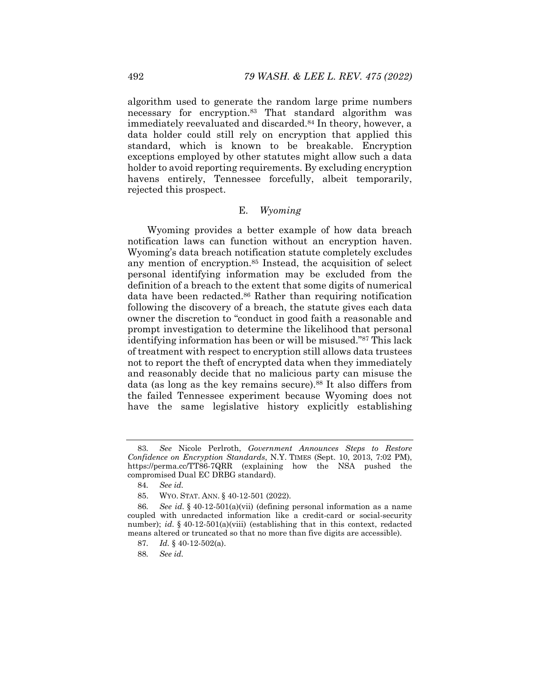algorithm used to generate the random large prime numbers necessary for encryption.83 That standard algorithm was immediately reevaluated and discarded.<sup>84</sup> In theory, however, a data holder could still rely on encryption that applied this standard, which is known to be breakable. Encryption exceptions employed by other statutes might allow such a data holder to avoid reporting requirements. By excluding encryption havens entirely, Tennessee forcefully, albeit temporarily, rejected this prospect.

### E. *Wyoming*

Wyoming provides a better example of how data breach notification laws can function without an encryption haven. Wyoming's data breach notification statute completely excludes any mention of encryption.85 Instead, the acquisition of select personal identifying information may be excluded from the definition of a breach to the extent that some digits of numerical data have been redacted.86 Rather than requiring notification following the discovery of a breach, the statute gives each data owner the discretion to "conduct in good faith a reasonable and prompt investigation to determine the likelihood that personal identifying information has been or will be misused."87 This lack of treatment with respect to encryption still allows data trustees not to report the theft of encrypted data when they immediately and reasonably decide that no malicious party can misuse the data (as long as the key remains secure).<sup>88</sup> It also differs from the failed Tennessee experiment because Wyoming does not have the same legislative history explicitly establishing

88*. See id.* 

<sup>83</sup>*. See* Nicole Perlroth, *Government Announces Steps to Restore Confidence on Encryption Standards*, N.Y. TIMES (Sept. 10, 2013, 7:02 PM), https://perma.cc/TT86-7QRR (explaining how the NSA pushed the compromised Dual EC DRBG standard).

<sup>84</sup>*. See id.*

 <sup>85.</sup> WYO. STAT. ANN. § 40-12-501 (2022).

<sup>86</sup>*. See id.* § 40-12-501(a)(vii) (defining personal information as a name coupled with unredacted information like a credit-card or social-security number); *id.* § 40-12-501(a)(viii) (establishing that in this context, redacted means altered or truncated so that no more than five digits are accessible).

<sup>87</sup>*. Id.* § 40-12-502(a).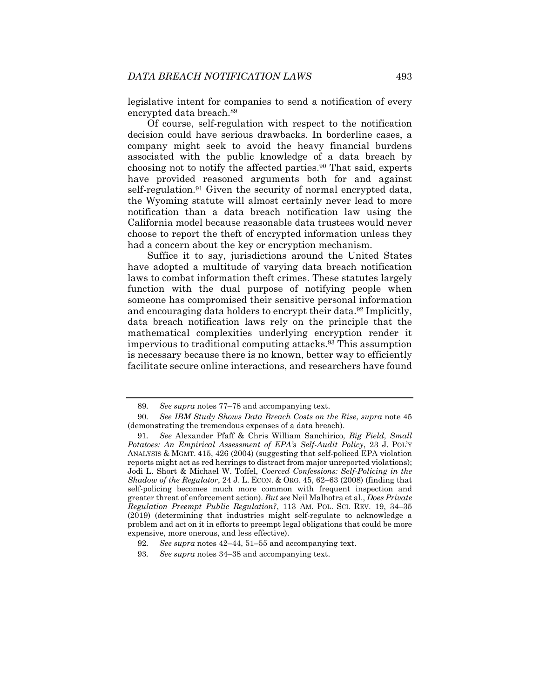legislative intent for companies to send a notification of every encrypted data breach.89

Of course, self-regulation with respect to the notification decision could have serious drawbacks. In borderline cases, a company might seek to avoid the heavy financial burdens associated with the public knowledge of a data breach by choosing not to notify the affected parties.90 That said, experts have provided reasoned arguments both for and against self-regulation.<sup>91</sup> Given the security of normal encrypted data, the Wyoming statute will almost certainly never lead to more notification than a data breach notification law using the California model because reasonable data trustees would never choose to report the theft of encrypted information unless they had a concern about the key or encryption mechanism.

Suffice it to say, jurisdictions around the United States have adopted a multitude of varying data breach notification laws to combat information theft crimes. These statutes largely function with the dual purpose of notifying people when someone has compromised their sensitive personal information and encouraging data holders to encrypt their data.<sup>92</sup> Implicitly, data breach notification laws rely on the principle that the mathematical complexities underlying encryption render it impervious to traditional computing attacks.93 This assumption is necessary because there is no known, better way to efficiently facilitate secure online interactions, and researchers have found

<sup>89</sup>*. See supra* notes 77–78 and accompanying text.

<sup>90</sup>*. See IBM Study Shows Data Breach Costs on the Rise*, *supra* note 45 (demonstrating the tremendous expenses of a data breach).

<sup>91</sup>*. See* Alexander Pfaff & Chris William Sanchirico, *Big Field, Small Potatoes: An Empirical Assessment of EPA's Self-Audit Policy*, 23 J. POL'Y ANALYSIS & MGMT. 415, 426 (2004) (suggesting that self-policed EPA violation reports might act as red herrings to distract from major unreported violations); Jodi L. Short & Michael W. Toffel, *Coerced Confessions: Self-Policing in the Shadow of the Regulator*, 24 J. L. ECON. & ORG. 45, 62–63 (2008) (finding that self-policing becomes much more common with frequent inspection and greater threat of enforcement action). *But see* Neil Malhotra et al., *Does Private Regulation Preempt Public Regulation?*, 113 AM. POL. SCI. REV. 19, 34–35 (2019) (determining that industries might self-regulate to acknowledge a problem and act on it in efforts to preempt legal obligations that could be more expensive, more onerous, and less effective).

<sup>92</sup>*. See supra* notes 42–44, 51–55 and accompanying text.

<sup>93</sup>*. See supra* notes 34–38 and accompanying text.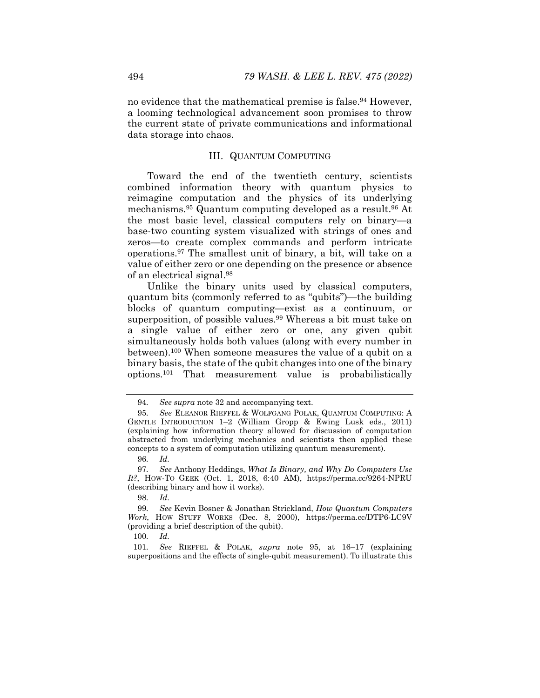no evidence that the mathematical premise is false.<sup>94</sup> However, a looming technological advancement soon promises to throw the current state of private communications and informational data storage into chaos.

#### III. QUANTUM COMPUTING

Toward the end of the twentieth century, scientists combined information theory with quantum physics to reimagine computation and the physics of its underlying mechanisms.95 Quantum computing developed as a result.96 At the most basic level, classical computers rely on binary—a base-two counting system visualized with strings of ones and zeros—to create complex commands and perform intricate operations.97 The smallest unit of binary, a bit, will take on a value of either zero or one depending on the presence or absence of an electrical signal.98

Unlike the binary units used by classical computers, quantum bits (commonly referred to as "qubits")—the building blocks of quantum computing—exist as a continuum, or superposition, of possible values.<sup>99</sup> Whereas a bit must take on a single value of either zero or one, any given qubit simultaneously holds both values (along with every number in between).100 When someone measures the value of a qubit on a binary basis, the state of the qubit changes into one of the binary options.101 That measurement value is probabilistically

100*. Id.* 

101*. See* RIEFFEL & POLAK, *supra* note 95, at 16–17 (explaining superpositions and the effects of single-qubit measurement). To illustrate this

<sup>94</sup>*. See supra* note 32 and accompanying text.

<sup>95</sup>*. See* ELEANOR RIEFFEL & WOLFGANG POLAK, QUANTUM COMPUTING: A GENTLE INTRODUCTION 1–2 (William Gropp & Ewing Lusk eds., 2011) (explaining how information theory allowed for discussion of computation abstracted from underlying mechanics and scientists then applied these concepts to a system of computation utilizing quantum measurement).

<sup>96</sup>*. Id.* 

<sup>97</sup>*. See* Anthony Heddings, *What Is Binary, and Why Do Computers Use It?*, HOW-TO GEEK (Oct. 1, 2018, 6:40 AM), https://perma.cc/9264-NPRU (describing binary and how it works).

<sup>98</sup>*. Id.*

<sup>99</sup>*. See* Kevin Bosner & Jonathan Strickland, *How Quantum Computers Work*, HOW STUFF WORKS (Dec. 8, 2000), https://perma.cc/DTP6-LC9V (providing a brief description of the qubit).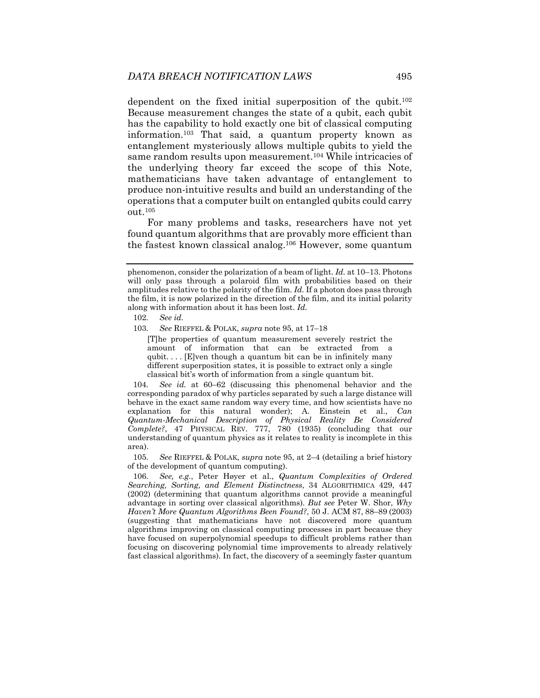dependent on the fixed initial superposition of the qubit.102 Because measurement changes the state of a qubit, each qubit has the capability to hold exactly one bit of classical computing information.103 That said, a quantum property known as entanglement mysteriously allows multiple qubits to yield the same random results upon measurement.<sup>104</sup> While intricacies of the underlying theory far exceed the scope of this Note, mathematicians have taken advantage of entanglement to produce non-intuitive results and build an understanding of the operations that a computer built on entangled qubits could carry out.105

For many problems and tasks, researchers have not yet found quantum algorithms that are provably more efficient than the fastest known classical analog.106 However, some quantum

102*. See id.*

[T]he properties of quantum measurement severely restrict the amount of information that can be extracted from a qubit....  $[E]$ ven though a quantum bit can be in infinitely many different superposition states, it is possible to extract only a single classical bit's worth of information from a single quantum bit.

104*. See id.* at 60–62 (discussing this phenomenal behavior and the corresponding paradox of why particles separated by such a large distance will behave in the exact same random way every time, and how scientists have no explanation for this natural wonder); A. Einstein et al., *Can Quantum-Mechanical Description of Physical Reality Be Considered Complete?*, 47 PHYSICAL REV. 777, 780 (1935) (concluding that our understanding of quantum physics as it relates to reality is incomplete in this area).

105*. See* RIEFFEL & POLAK, *supra* note 95, at 2–4 (detailing a brief history of the development of quantum computing).

106*. See, e.g.*, Peter Høyer et al., *Quantum Complexities of Ordered Searching, Sorting, and Element Distinctness*, 34 ALGORITHMICA 429, 447 (2002) (determining that quantum algorithms cannot provide a meaningful advantage in sorting over classical algorithms). *But see* Peter W. Shor, *Why Haven't More Quantum Algorithms Been Found?*, 50 J. ACM 87, 88–89 (2003) (suggesting that mathematicians have not discovered more quantum algorithms improving on classical computing processes in part because they have focused on superpolynomial speedups to difficult problems rather than focusing on discovering polynomial time improvements to already relatively fast classical algorithms). In fact, the discovery of a seemingly faster quantum

phenomenon, consider the polarization of a beam of light. *Id.* at 10–13. Photons will only pass through a polaroid film with probabilities based on their amplitudes relative to the polarity of the film. *Id.* If a photon does pass through the film, it is now polarized in the direction of the film, and its initial polarity along with information about it has been lost. *Id.*

<sup>103</sup>*. See* RIEFFEL & POLAK, *supra* note 95, at 17–18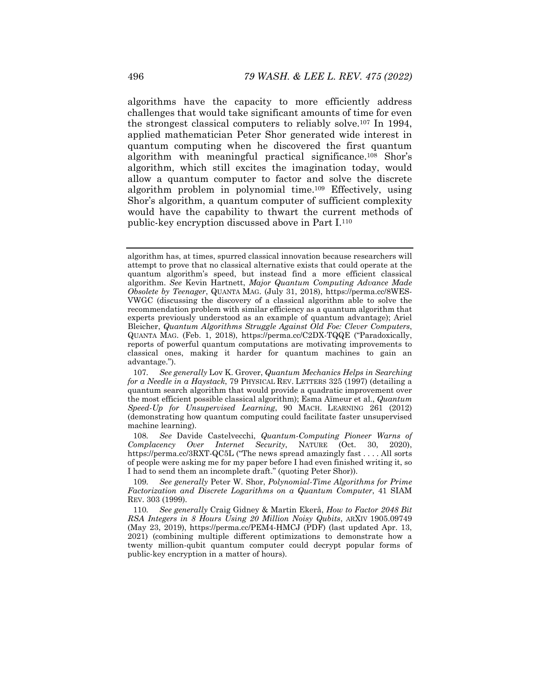algorithms have the capacity to more efficiently address challenges that would take significant amounts of time for even the strongest classical computers to reliably solve.107 In 1994, applied mathematician Peter Shor generated wide interest in quantum computing when he discovered the first quantum algorithm with meaningful practical significance.108 Shor's algorithm, which still excites the imagination today, would allow a quantum computer to factor and solve the discrete algorithm problem in polynomial time.109 Effectively, using Shor's algorithm, a quantum computer of sufficient complexity would have the capability to thwart the current methods of public-key encryption discussed above in Part I.110

algorithm has, at times, spurred classical innovation because researchers will attempt to prove that no classical alternative exists that could operate at the quantum algorithm's speed, but instead find a more efficient classical algorithm. *See* Kevin Hartnett, *Major Quantum Computing Advance Made Obsolete by Teenager*, QUANTA MAG. (July 31, 2018), https://perma.cc/8WES-VWGC (discussing the discovery of a classical algorithm able to solve the recommendation problem with similar efficiency as a quantum algorithm that experts previously understood as an example of quantum advantage); Ariel Bleicher, *Quantum Algorithms Struggle Against Old Foe: Clever Computers*, QUANTA MAG. (Feb. 1, 2018), https://perma.cc/C2DX-TQQE ("Paradoxically, reports of powerful quantum computations are motivating improvements to classical ones, making it harder for quantum machines to gain an advantage.").

<sup>107</sup>*. See generally* Lov K. Grover, *Quantum Mechanics Helps in Searching for a Needle in a Haystack*, 79 PHYSICAL REV. LETTERS 325 (1997) (detailing a quantum search algorithm that would provide a quadratic improvement over the most efficient possible classical algorithm); Esma Aїmeur et al., *Quantum Speed-Up for Unsupervised Learning*, 90 MACH. LEARNING 261 (2012) (demonstrating how quantum computing could facilitate faster unsupervised machine learning).

<sup>108</sup>*. See* Davide Castelvecchi, *Quantum-Computing Pioneer Warns of Complacency Over Internet Security*, NATURE (Oct. 30, 2020), https://perma.cc/3RXT-QC5L ("The news spread amazingly fast . . . . All sorts of people were asking me for my paper before I had even finished writing it, so I had to send them an incomplete draft." (quoting Peter Shor)).

<sup>109</sup>*. See generally* Peter W. Shor, *Polynomial-Time Algorithms for Prime Factorization and Discrete Logarithms on a Quantum Computer*, 41 SIAM REV. 303 (1999).

<sup>110</sup>*. See generally* Craig Gidney & Martin Ekerå, *How to Factor 2048 Bit RSA Integers in 8 Hours Using 20 Million Noisy Qubits*, ARXIV 1905.09749 (May 23, 2019), https://perma.cc/PEM4-HMCJ (PDF) (last updated Apr. 13, 2021) (combining multiple different optimizations to demonstrate how a twenty million-qubit quantum computer could decrypt popular forms of public-key encryption in a matter of hours).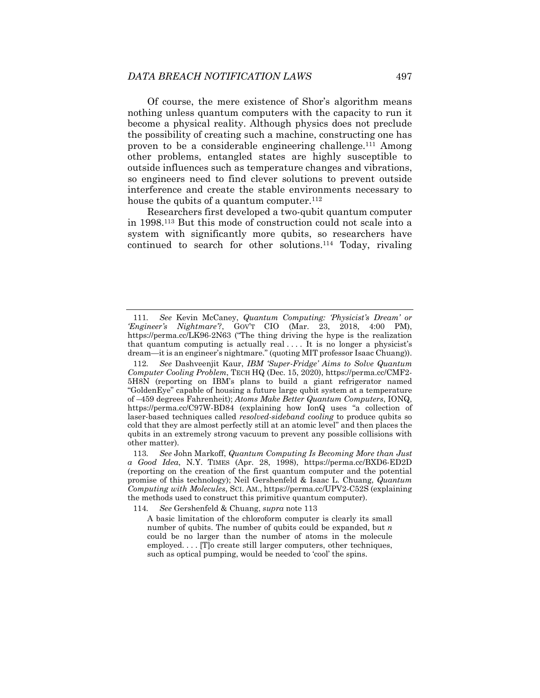Of course, the mere existence of Shor's algorithm means nothing unless quantum computers with the capacity to run it become a physical reality. Although physics does not preclude the possibility of creating such a machine, constructing one has proven to be a considerable engineering challenge.111 Among other problems, entangled states are highly susceptible to outside influences such as temperature changes and vibrations, so engineers need to find clever solutions to prevent outside interference and create the stable environments necessary to house the qubits of a quantum computer.<sup>112</sup>

Researchers first developed a two-qubit quantum computer in 1998.113 But this mode of construction could not scale into a system with significantly more qubits, so researchers have continued to search for other solutions.114 Today, rivaling

114*. See* Gershenfeld & Chuang, *supra* note 113

<sup>111</sup>*. See* Kevin McCaney, *Quantum Computing: 'Physicist's Dream' or 'Engineer's Nightmare'?*, GOV'T CIO (Mar. 23, 2018, 4:00 PM), https://perma.cc/LK96-2N63 ("The thing driving the hype is the realization that quantum computing is actually real .... It is no longer a physicist's dream—it is an engineer's nightmare." (quoting MIT professor Isaac Chuang)).

<sup>112</sup>*. See* Dashveenjit Kaur, *IBM 'Super-Fridge' Aims to Solve Quantum Computer Cooling Problem*, TECH HQ (Dec. 15, 2020), https://perma.cc/CMF2- 5H8N (reporting on IBM's plans to build a giant refrigerator named "GoldenEye" capable of housing a future large qubit system at a temperature of –459 degrees Fahrenheit); *Atoms Make Better Quantum Computers*, IONQ, https://perma.cc/C97W-BD84 (explaining how IonQ uses "a collection of laser-based techniques called *resolved-sideband cooling* to produce qubits so cold that they are almost perfectly still at an atomic level" and then places the qubits in an extremely strong vacuum to prevent any possible collisions with other matter).

<sup>113</sup>*. See* John Markoff, *Quantum Computing Is Becoming More than Just a Good Idea*, N.Y. TIMES (Apr. 28, 1998), https://perma.cc/BXD6-ED2D (reporting on the creation of the first quantum computer and the potential promise of this technology); Neil Gershenfeld & Isaac L. Chuang, *Quantum Computing with Molecules*, SCI. AM., https://perma.cc/UPV2-C52S (explaining the methods used to construct this primitive quantum computer).

A basic limitation of the chloroform computer is clearly its small number of qubits. The number of qubits could be expanded, but *n*  could be no larger than the number of atoms in the molecule employed.... [T]o create still larger computers, other techniques, such as optical pumping, would be needed to 'cool' the spins.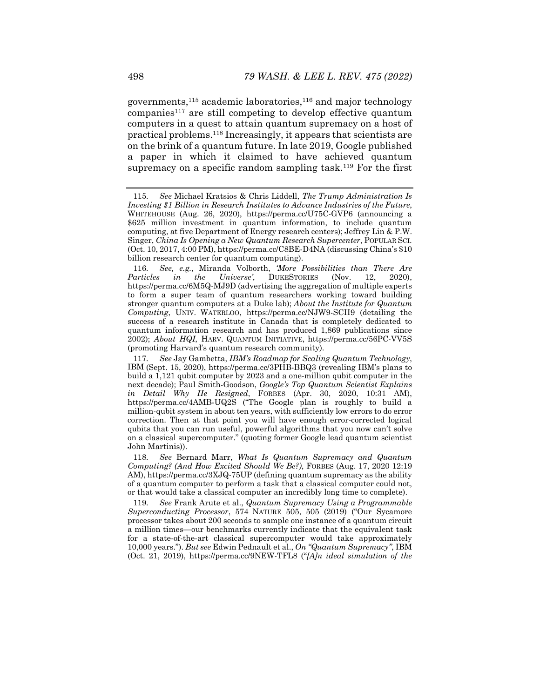governments,115 academic laboratories,116 and major technology companies117 are still competing to develop effective quantum computers in a quest to attain quantum supremacy on a host of practical problems.118 Increasingly, it appears that scientists are on the brink of a quantum future. In late 2019, Google published a paper in which it claimed to have achieved quantum supremacy on a specific random sampling task.<sup>119</sup> For the first

116*. See, e.g.*, Miranda Volborth, *'More Possibilities than There Are Particles in the Universe'*, DUKESTORIES (Nov. 12, 2020), https://perma.cc/6M5Q-MJ9D (advertising the aggregation of multiple experts to form a super team of quantum researchers working toward building stronger quantum computers at a Duke lab); *About the Institute for Quantum Computing*, UNIV. WATERLOO, https://perma.cc/NJW9-SCH9 (detailing the success of a research institute in Canada that is completely dedicated to quantum information research and has produced 1,869 publications since 2002); *About HQI*, HARV. QUANTUM INITIATIVE, https://perma.cc/56PC-VV5S (promoting Harvard's quantum research community).

119*. See* Frank Arute et al., *Quantum Supremacy Using a Programmable Superconducting Processor*, 574 NATURE 505, 505 (2019) ("Our Sycamore processor takes about 200 seconds to sample one instance of a quantum circuit a million times—our benchmarks currently indicate that the equivalent task for a state-of-the-art classical supercomputer would take approximately 10,000 years."). *But see* Edwin Pednault et al., *On "Quantum Supremacy"*, IBM (Oct. 21, 2019), https://perma.cc/9NEW-TFL8 ("*[A]n ideal simulation of the* 

<sup>115</sup>*. See* Michael Kratsios & Chris Liddell, *The Trump Administration Is Investing \$1 Billion in Research Institutes to Advance Industries of the Future*, WHITEHOUSE (Aug. 26, 2020), https://perma.cc/U75C-GVP6 (announcing a \$625 million investment in quantum information, to include quantum computing, at five Department of Energy research centers); Jeffrey Lin & P.W. Singer, *China Is Opening a New Quantum Research Supercenter*, POPULAR SCI. (Oct. 10, 2017, 4:00 PM), https://perma.cc/C8BE-D4NA (discussing China's \$10 billion research center for quantum computing).

<sup>117</sup>*. See* Jay Gambetta, *IBM's Roadmap for Scaling Quantum Technology*, IBM (Sept. 15, 2020), https://perma.cc/3PHB-BBQ3 (revealing IBM's plans to build a 1,121 qubit computer by 2023 and a one-million qubit computer in the next decade); Paul Smith-Goodson, *Google's Top Quantum Scientist Explains in Detail Why He Resigned*, FORBES (Apr. 30, 2020, 10:31 AM), https://perma.cc/4AMB-UQ2S ("The Google plan is roughly to build a million-qubit system in about ten years, with sufficiently low errors to do error correction. Then at that point you will have enough error-corrected logical qubits that you can run useful, powerful algorithms that you now can't solve on a classical supercomputer." (quoting former Google lead quantum scientist John Martinis)).

<sup>118</sup>*. See* Bernard Marr, *What Is Quantum Supremacy and Quantum Computing? (And How Excited Should We Be?)*, FORBES (Aug. 17, 2020 12:19 AM), https://perma.cc/3XJQ-75UP (defining quantum supremacy as the ability of a quantum computer to perform a task that a classical computer could not, or that would take a classical computer an incredibly long time to complete).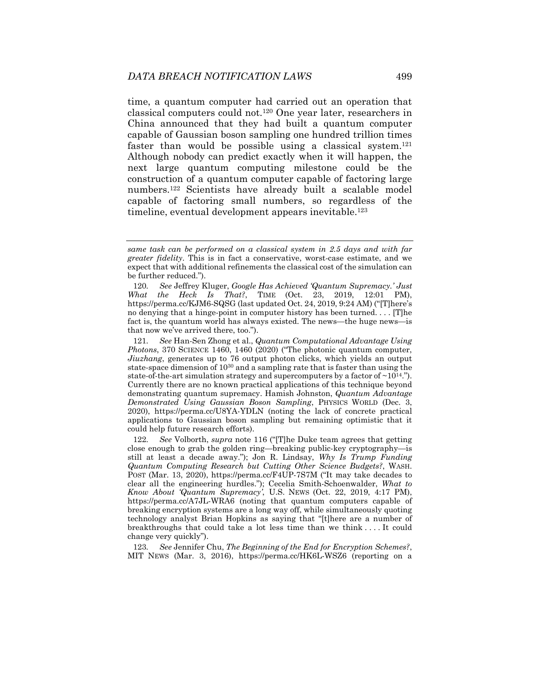time, a quantum computer had carried out an operation that classical computers could not.120 One year later, researchers in China announced that they had built a quantum computer capable of Gaussian boson sampling one hundred trillion times faster than would be possible using a classical system.<sup>121</sup> Although nobody can predict exactly when it will happen, the next large quantum computing milestone could be the construction of a quantum computer capable of factoring large numbers.122 Scientists have already built a scalable model capable of factoring small numbers, so regardless of the timeline, eventual development appears inevitable.<sup>123</sup>

121*. See* Han-Sen Zhong et al., *Quantum Computational Advantage Using Photons*, 370 SCIENCE 1460, 1460 (2020) ("The photonic quantum computer, *Jiuzhang*, generates up to 76 output photon clicks, which yields an output state-space dimension of 1030 and a sampling rate that is faster than using the state-of-the-art simulation strategy and supercomputers by a factor of  $\sim 10^{14}$ ."). Currently there are no known practical applications of this technique beyond demonstrating quantum supremacy. Hamish Johnston, *Quantum Advantage Demonstrated Using Gaussian Boson Sampling*, PHYSICS WORLD (Dec. 3, 2020), https://perma.cc/U8YA-YDLN (noting the lack of concrete practical applications to Gaussian boson sampling but remaining optimistic that it could help future research efforts).

122*. See* Volborth, *supra* note 116 ("[T]he Duke team agrees that getting close enough to grab the golden ring—breaking public-key cryptography—is still at least a decade away."); Jon R. Lindsay, *Why Is Trump Funding Quantum Computing Research but Cutting Other Science Budgets?*, WASH. POST (Mar. 13, 2020), https://perma.cc/F4UP-7S7M ("It may take decades to clear all the engineering hurdles."); Cecelia Smith-Schoenwalder, *What to Know About 'Quantum Supremacy'*, U.S. NEWS (Oct. 22, 2019, 4:17 PM), https://perma.cc/A7JL-WRA6 (noting that quantum computers capable of breaking encryption systems are a long way off, while simultaneously quoting technology analyst Brian Hopkins as saying that "[t]here are a number of breakthroughs that could take a lot less time than we think . . . . It could change very quickly").

123*. See* Jennifer Chu, *The Beginning of the End for Encryption Schemes?*, MIT NEWS (Mar. 3, 2016), https://perma.cc/HK6L-WSZ6 (reporting on a

*same task can be performed on a classical system in 2.5 days and with far greater fidelity*. This is in fact a conservative, worst-case estimate, and we expect that with additional refinements the classical cost of the simulation can be further reduced.").

<sup>120</sup>*. See* Jeffrey Kluger, *Google Has Achieved 'Quantum Supremacy.' Just What the Heck Is That?*, TIME (Oct. 23, 2019, 12:01 PM), https://perma.cc/KJM6-SQSG (last updated Oct. 24, 2019, 9:24 AM) ("[T]here's no denying that a hinge-point in computer history has been turned. . . . [T]he fact is, the quantum world has always existed. The news—the huge news—is that now we've arrived there, too.").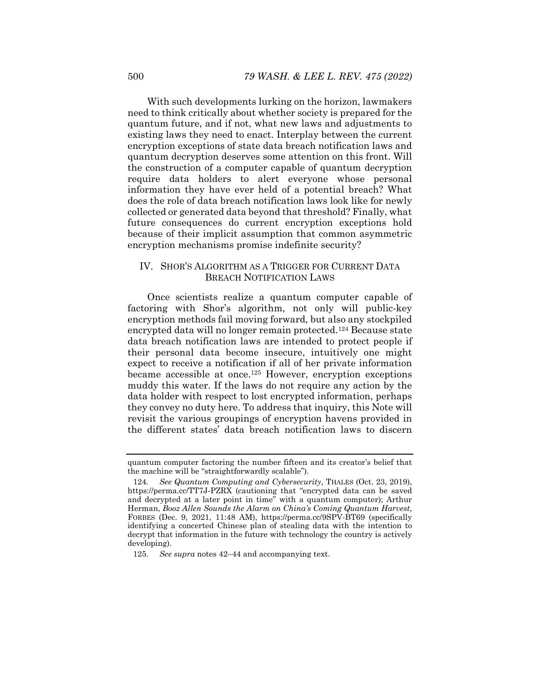With such developments lurking on the horizon, lawmakers need to think critically about whether society is prepared for the quantum future, and if not, what new laws and adjustments to existing laws they need to enact. Interplay between the current encryption exceptions of state data breach notification laws and quantum decryption deserves some attention on this front. Will the construction of a computer capable of quantum decryption require data holders to alert everyone whose personal information they have ever held of a potential breach? What does the role of data breach notification laws look like for newly collected or generated data beyond that threshold? Finally, what future consequences do current encryption exceptions hold because of their implicit assumption that common asymmetric encryption mechanisms promise indefinite security?

# IV. SHOR'S ALGORITHM AS A TRIGGER FOR CURRENT DATA BREACH NOTIFICATION LAWS

Once scientists realize a quantum computer capable of factoring with Shor's algorithm, not only will public-key encryption methods fail moving forward, but also any stockpiled encrypted data will no longer remain protected.124 Because state data breach notification laws are intended to protect people if their personal data become insecure, intuitively one might expect to receive a notification if all of her private information became accessible at once.125 However, encryption exceptions muddy this water. If the laws do not require any action by the data holder with respect to lost encrypted information, perhaps they convey no duty here. To address that inquiry, this Note will revisit the various groupings of encryption havens provided in the different states' data breach notification laws to discern

quantum computer factoring the number fifteen and its creator's belief that the machine will be "straightforwardly scalable").

<sup>124</sup>*. See Quantum Computing and Cybersecurity*, THALES (Oct. 23, 2019), https://perma.cc/TT7J-PZRX (cautioning that "encrypted data can be saved and decrypted at a later point in time" with a quantum computer); Arthur Herman, *Booz Allen Sounds the Alarm on China's Coming Quantum Harvest*, FORBES (Dec. 9, 2021, 11:48 AM), https://perma.cc/9SPV-BT69 (specifically identifying a concerted Chinese plan of stealing data with the intention to decrypt that information in the future with technology the country is actively developing).

<sup>125</sup>*. See supra* notes 42–44 and accompanying text.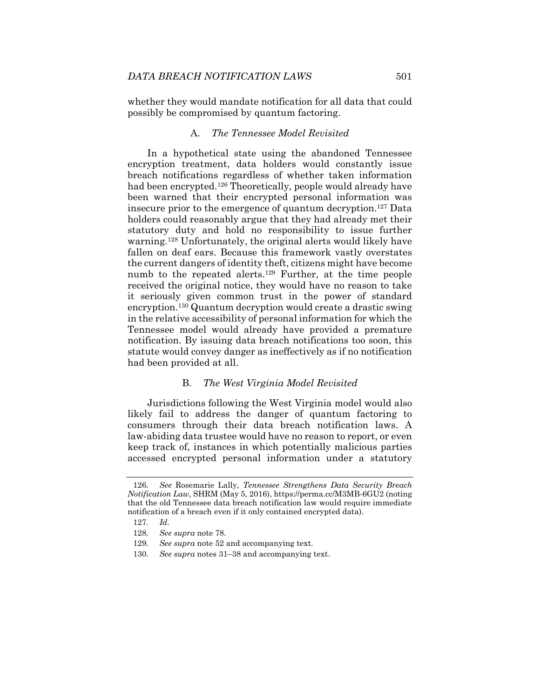whether they would mandate notification for all data that could possibly be compromised by quantum factoring.

#### A. *The Tennessee Model Revisited*

In a hypothetical state using the abandoned Tennessee encryption treatment, data holders would constantly issue breach notifications regardless of whether taken information had been encrypted.<sup>126</sup> Theoretically, people would already have been warned that their encrypted personal information was insecure prior to the emergence of quantum decryption.127 Data holders could reasonably argue that they had already met their statutory duty and hold no responsibility to issue further warning.128 Unfortunately, the original alerts would likely have fallen on deaf ears. Because this framework vastly overstates the current dangers of identity theft, citizens might have become numb to the repeated alerts.<sup>129</sup> Further, at the time people received the original notice, they would have no reason to take it seriously given common trust in the power of standard encryption.130 Quantum decryption would create a drastic swing in the relative accessibility of personal information for which the Tennessee model would already have provided a premature notification. By issuing data breach notifications too soon, this statute would convey danger as ineffectively as if no notification had been provided at all.

#### B. *The West Virginia Model Revisited*

Jurisdictions following the West Virginia model would also likely fail to address the danger of quantum factoring to consumers through their data breach notification laws. A law-abiding data trustee would have no reason to report, or even keep track of, instances in which potentially malicious parties accessed encrypted personal information under a statutory

<sup>126</sup>*. See* Rosemarie Lally, *Tennessee Strengthens Data Security Breach Notification Law*, SHRM (May 5, 2016), https://perma.cc/M3MB-6GU2 (noting that the old Tennessee data breach notification law would require immediate notification of a breach even if it only contained encrypted data).

<sup>127</sup>*. Id.*

<sup>128</sup>*. See supra* note 78.

<sup>129</sup>*. See supra* note 52 and accompanying text.

<sup>130</sup>*. See supra* notes 31–38 and accompanying text.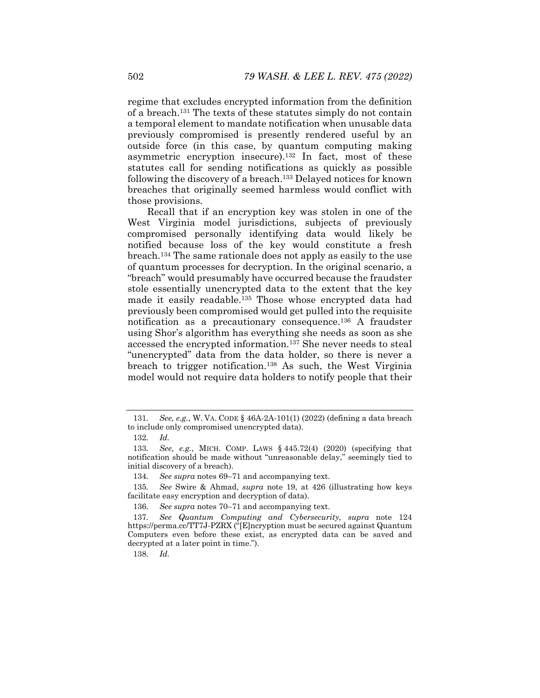regime that excludes encrypted information from the definition of a breach.131 The texts of these statutes simply do not contain a temporal element to mandate notification when unusable data previously compromised is presently rendered useful by an outside force (in this case, by quantum computing making asymmetric encryption insecure).132 In fact, most of these statutes call for sending notifications as quickly as possible following the discovery of a breach.133 Delayed notices for known breaches that originally seemed harmless would conflict with those provisions.

Recall that if an encryption key was stolen in one of the West Virginia model jurisdictions, subjects of previously compromised personally identifying data would likely be notified because loss of the key would constitute a fresh breach.134 The same rationale does not apply as easily to the use of quantum processes for decryption. In the original scenario, a "breach" would presumably have occurred because the fraudster stole essentially unencrypted data to the extent that the key made it easily readable.135 Those whose encrypted data had previously been compromised would get pulled into the requisite notification as a precautionary consequence.136 A fraudster using Shor's algorithm has everything she needs as soon as she accessed the encrypted information.137 She never needs to steal "unencrypted" data from the data holder, so there is never a breach to trigger notification.138 As such, the West Virginia model would not require data holders to notify people that their

138*. Id.*

<sup>131</sup>*. See, e.g.*, W. VA. CODE § 46A-2A-101(1) (2022) (defining a data breach to include only compromised unencrypted data).

<sup>132</sup>*. Id.* 

<sup>133</sup>*. See, e.g.*, MICH. COMP. LAWS § 445.72(4) (2020) (specifying that notification should be made without "unreasonable delay," seemingly tied to initial discovery of a breach).

<sup>134</sup>*. See supra* notes 69–71 and accompanying text.

<sup>135</sup>*. See* Swire & Ahmad, *supra* note 19, at 426 (illustrating how keys facilitate easy encryption and decryption of data).

<sup>136</sup>*. See supra* notes 70–71 and accompanying text.

<sup>137</sup>*. See Quantum Computing and Cybersecurity*, *supra* note 124 https://perma.cc/TT7J-PZRX ("[E]ncryption must be secured against Quantum Computers even before these exist, as encrypted data can be saved and decrypted at a later point in time.").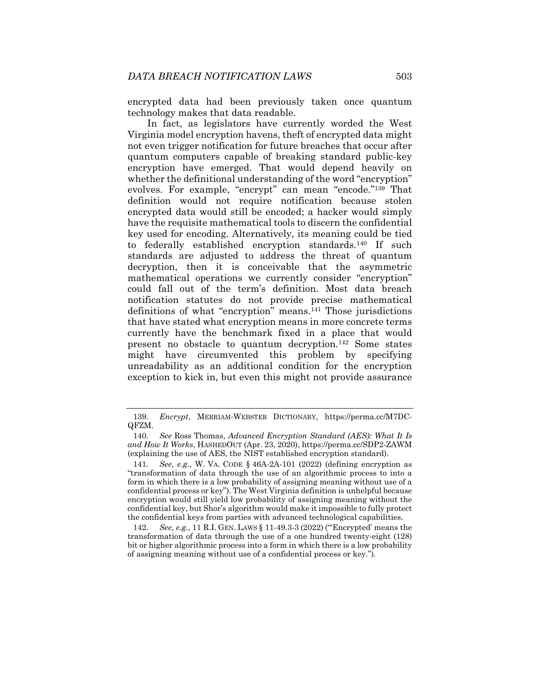encrypted data had been previously taken once quantum technology makes that data readable.

In fact, as legislators have currently worded the West Virginia model encryption havens, theft of encrypted data might not even trigger notification for future breaches that occur after quantum computers capable of breaking standard public-key encryption have emerged. That would depend heavily on whether the definitional understanding of the word "encryption" evolves. For example, "encrypt" can mean "encode."139 That definition would not require notification because stolen encrypted data would still be encoded; a hacker would simply have the requisite mathematical tools to discern the confidential key used for encoding. Alternatively, its meaning could be tied to federally established encryption standards.140 If such standards are adjusted to address the threat of quantum decryption, then it is conceivable that the asymmetric mathematical operations we currently consider "encryption" could fall out of the term's definition. Most data breach notification statutes do not provide precise mathematical definitions of what "encryption" means.141 Those jurisdictions that have stated what encryption means in more concrete terms currently have the benchmark fixed in a place that would present no obstacle to quantum decryption.142 Some states might have circumvented this problem by specifying unreadability as an additional condition for the encryption exception to kick in, but even this might not provide assurance

<sup>139</sup>*. Encrypt*, MERRIAM-WEBSTER DICTIONARY, https://perma.cc/M7DC-QFZM.

<sup>140</sup>*. See* Ross Thomas, *Advanced Encryption Standard (AES): What It Is and How It Works*, HASHEDOUT (Apr. 23, 2020), https://perma.cc/SDP2-ZAWM (explaining the use of AES, the NIST established encryption standard).

<sup>141</sup>*. See, e.g.*, W. VA. CODE § 46A-2A-101 (2022) (defining encryption as "transformation of data through the use of an algorithmic process to into a form in which there is a low probability of assigning meaning without use of a confidential process or key"). The West Virginia definition is unhelpful because encryption would still yield low probability of assigning meaning without the confidential key, but Shor's algorithm would make it impossible to fully protect the confidential keys from parties with advanced technological capabilities.

<sup>142</sup>*. See, e.g.*, 11 R.I. GEN. LAWS § 11-49.3-3 (2022) ("'Encrypted' means the transformation of data through the use of a one hundred twenty-eight (128) bit or higher algorithmic process into a form in which there is a low probability of assigning meaning without use of a confidential process or key.").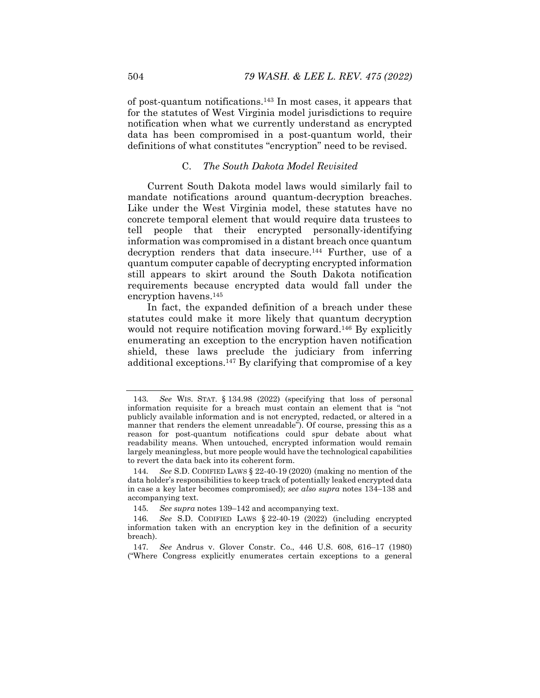of post-quantum notifications.143 In most cases, it appears that for the statutes of West Virginia model jurisdictions to require notification when what we currently understand as encrypted data has been compromised in a post-quantum world, their definitions of what constitutes "encryption" need to be revised.

# C. *The South Dakota Model Revisited*

Current South Dakota model laws would similarly fail to mandate notifications around quantum-decryption breaches. Like under the West Virginia model, these statutes have no concrete temporal element that would require data trustees to tell people that their encrypted personally-identifying information was compromised in a distant breach once quantum decryption renders that data insecure.144 Further, use of a quantum computer capable of decrypting encrypted information still appears to skirt around the South Dakota notification requirements because encrypted data would fall under the encryption havens.145

In fact, the expanded definition of a breach under these statutes could make it more likely that quantum decryption would not require notification moving forward.<sup>146</sup> By explicitly enumerating an exception to the encryption haven notification shield, these laws preclude the judiciary from inferring additional exceptions.147 By clarifying that compromise of a key

<sup>143</sup>*. See* WIS. STAT. § 134.98 (2022) (specifying that loss of personal information requisite for a breach must contain an element that is "not publicly available information and is not encrypted, redacted, or altered in a manner that renders the element unreadable"). Of course, pressing this as a reason for post-quantum notifications could spur debate about what readability means. When untouched, encrypted information would remain largely meaningless, but more people would have the technological capabilities to revert the data back into its coherent form.

<sup>144</sup>*. See* S.D. CODIFIED LAWS § 22-40-19 (2020) (making no mention of the data holder's responsibilities to keep track of potentially leaked encrypted data in case a key later becomes compromised); *see also supra* notes 134–138 and accompanying text.

<sup>145</sup>*. See supra* notes 139–142 and accompanying text.

<sup>146</sup>*. See* S.D. CODIFIED LAWS § 22-40-19 (2022) (including encrypted information taken with an encryption key in the definition of a security breach).

<sup>147</sup>*. See* Andrus v. Glover Constr. Co., 446 U.S. 608, 616–17 (1980) ("Where Congress explicitly enumerates certain exceptions to a general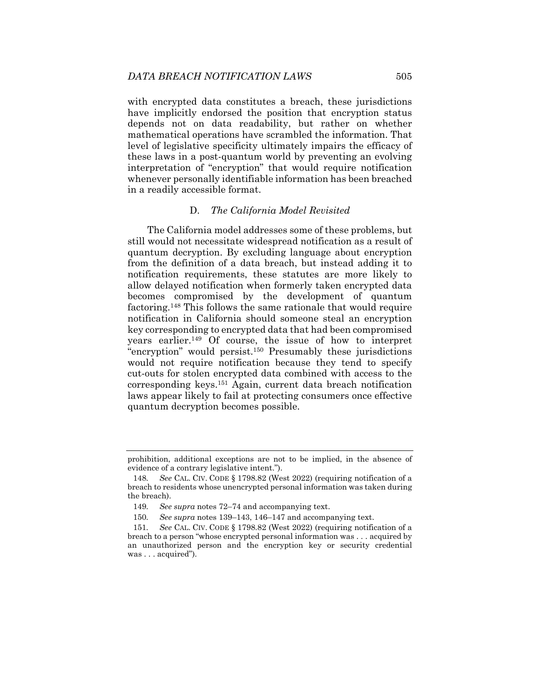with encrypted data constitutes a breach, these jurisdictions have implicitly endorsed the position that encryption status depends not on data readability, but rather on whether mathematical operations have scrambled the information. That level of legislative specificity ultimately impairs the efficacy of these laws in a post-quantum world by preventing an evolving interpretation of "encryption" that would require notification whenever personally identifiable information has been breached in a readily accessible format.

#### D. *The California Model Revisited*

The California model addresses some of these problems, but still would not necessitate widespread notification as a result of quantum decryption. By excluding language about encryption from the definition of a data breach, but instead adding it to notification requirements, these statutes are more likely to allow delayed notification when formerly taken encrypted data becomes compromised by the development of quantum factoring.148 This follows the same rationale that would require notification in California should someone steal an encryption key corresponding to encrypted data that had been compromised years earlier.149 Of course, the issue of how to interpret "encryption" would persist.150 Presumably these jurisdictions would not require notification because they tend to specify cut-outs for stolen encrypted data combined with access to the corresponding keys.151 Again, current data breach notification laws appear likely to fail at protecting consumers once effective quantum decryption becomes possible.

prohibition, additional exceptions are not to be implied, in the absence of evidence of a contrary legislative intent.").

<sup>148</sup>*. See* CAL. CIV. CODE § 1798.82 (West 2022) (requiring notification of a breach to residents whose unencrypted personal information was taken during the breach).

<sup>149</sup>*. See supra* notes 72–74 and accompanying text.

<sup>150</sup>*. See supra* notes 139–143, 146–147 and accompanying text.

<sup>151</sup>*. See* CAL. CIV. CODE § 1798.82 (West 2022) (requiring notification of a breach to a person "whose encrypted personal information was . . . acquired by an unauthorized person and the encryption key or security credential was . . . acquired").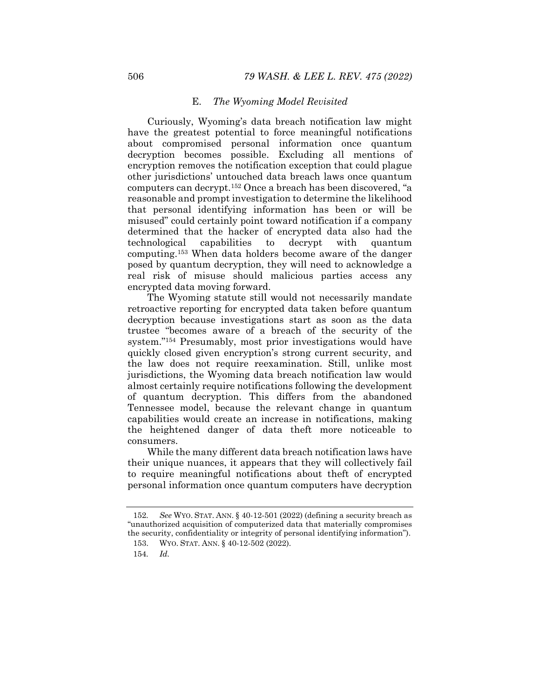#### E. *The Wyoming Model Revisited*

Curiously, Wyoming's data breach notification law might have the greatest potential to force meaningful notifications about compromised personal information once quantum decryption becomes possible. Excluding all mentions of encryption removes the notification exception that could plague other jurisdictions' untouched data breach laws once quantum computers can decrypt.152 Once a breach has been discovered, "a reasonable and prompt investigation to determine the likelihood that personal identifying information has been or will be misused" could certainly point toward notification if a company determined that the hacker of encrypted data also had the technological capabilities to decrypt with quantum computing.153 When data holders become aware of the danger posed by quantum decryption, they will need to acknowledge a real risk of misuse should malicious parties access any encrypted data moving forward.

The Wyoming statute still would not necessarily mandate retroactive reporting for encrypted data taken before quantum decryption because investigations start as soon as the data trustee "becomes aware of a breach of the security of the system."154 Presumably, most prior investigations would have quickly closed given encryption's strong current security, and the law does not require reexamination. Still, unlike most jurisdictions, the Wyoming data breach notification law would almost certainly require notifications following the development of quantum decryption. This differs from the abandoned Tennessee model, because the relevant change in quantum capabilities would create an increase in notifications, making the heightened danger of data theft more noticeable to consumers.

While the many different data breach notification laws have their unique nuances, it appears that they will collectively fail to require meaningful notifications about theft of encrypted personal information once quantum computers have decryption

<sup>152</sup>*. See* WYO. STAT. ANN. § 40-12-501 (2022) (defining a security breach as "unauthorized acquisition of computerized data that materially compromises the security, confidentiality or integrity of personal identifying information").

 <sup>153.</sup> WYO. STAT. ANN. § 40-12-502 (2022).

<sup>154</sup>*. Id.*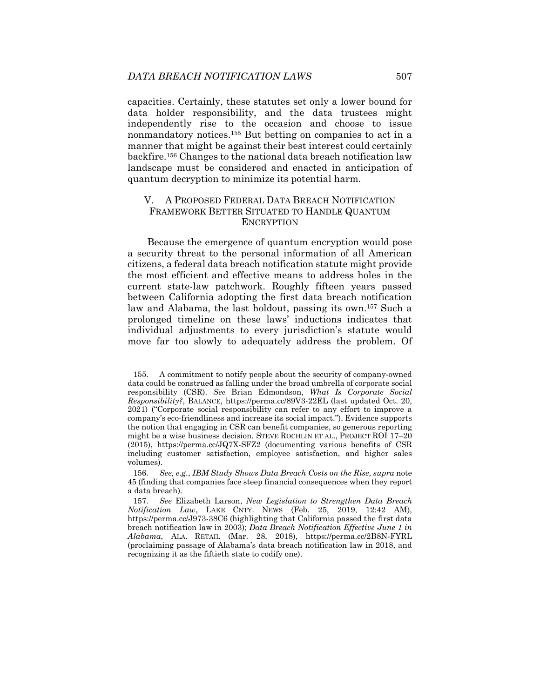capacities. Certainly, these statutes set only a lower bound for data holder responsibility, and the data trustees might independently rise to the occasion and choose to issue nonmandatory notices.155 But betting on companies to act in a manner that might be against their best interest could certainly backfire.156 Changes to the national data breach notification law landscape must be considered and enacted in anticipation of quantum decryption to minimize its potential harm.

#### V. A PROPOSED FEDERAL DATA BREACH NOTIFICATION FRAMEWORK BETTER SITUATED TO HANDLE QUANTUM **ENCRYPTION**

Because the emergence of quantum encryption would pose a security threat to the personal information of all American citizens, a federal data breach notification statute might provide the most efficient and effective means to address holes in the current state-law patchwork. Roughly fifteen years passed between California adopting the first data breach notification law and Alabama, the last holdout, passing its own.<sup>157</sup> Such a prolonged timeline on these laws' inductions indicates that individual adjustments to every jurisdiction's statute would move far too slowly to adequately address the problem. Of

 <sup>155.</sup> A commitment to notify people about the security of company-owned data could be construed as falling under the broad umbrella of corporate social responsibility (CSR). *See* Brian Edmondson, *What Is Corporate Social Responsibility?*, BALANCE, https://perma.cc/89V3-22EL (last updated Oct. 20, 2021) ("Corporate social responsibility can refer to any effort to improve a company's eco-friendliness and increase its social impact."). Evidence supports the notion that engaging in CSR can benefit companies, so generous reporting might be a wise business decision. STEVE ROCHLIN ET AL., PROJECT ROI 17–20 (2015), https://perma.cc/JQ7X-SFZ2 (documenting various benefits of CSR including customer satisfaction, employee satisfaction, and higher sales volumes).

<sup>156</sup>*. See, e.g.*, *IBM Study Shows Data Breach Costs on the Rise*, *supra* note 45 (finding that companies face steep financial consequences when they report a data breach).

<sup>157</sup>*. See* Elizabeth Larson, *New Legislation to Strengthen Data Breach Notification Law*, LAKE CNTY. NEWS (Feb. 25, 2019, 12:42 AM), https://perma.cc/J973-38C6 (highlighting that California passed the first data breach notification law in 2003); *Data Breach Notification Effective June 1 in Alabama*, ALA. RETAIL (Mar. 28, 2018), https://perma.cc/2B8N-FYRL (proclaiming passage of Alabama's data breach notification law in 2018, and recognizing it as the fiftieth state to codify one).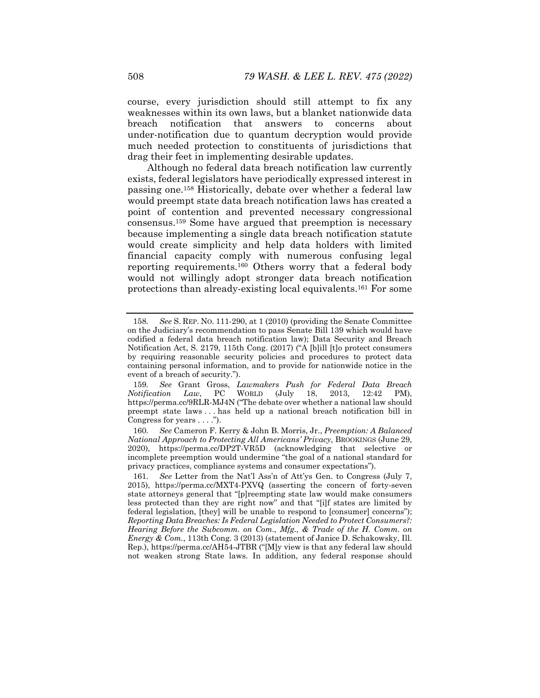course, every jurisdiction should still attempt to fix any weaknesses within its own laws, but a blanket nationwide data breach notification that answers to concerns about under-notification due to quantum decryption would provide much needed protection to constituents of jurisdictions that drag their feet in implementing desirable updates.

Although no federal data breach notification law currently exists, federal legislators have periodically expressed interest in passing one.158 Historically, debate over whether a federal law would preempt state data breach notification laws has created a point of contention and prevented necessary congressional consensus.159 Some have argued that preemption is necessary because implementing a single data breach notification statute would create simplicity and help data holders with limited financial capacity comply with numerous confusing legal reporting requirements.160 Others worry that a federal body would not willingly adopt stronger data breach notification protections than already-existing local equivalents.161 For some

<sup>158</sup>*. See* S. REP. NO. 111-290, at 1 (2010) (providing the Senate Committee on the Judiciary's recommendation to pass Senate Bill 139 which would have codified a federal data breach notification law); Data Security and Breach Notification Act, S. 2179, 115th Cong. (2017) ("A [b]ill [t]o protect consumers by requiring reasonable security policies and procedures to protect data containing personal information, and to provide for nationwide notice in the event of a breach of security.").

<sup>159</sup>*. See* Grant Gross, *Lawmakers Push for Federal Data Breach Notification Law*, PC WORLD (July 18, 2013, 12:42 PM), https://perma.cc/9RLR-MJ4N ("The debate over whether a national law should preempt state laws . . . has held up a national breach notification bill in Congress for years . . . .").

<sup>160</sup>*. See* Cameron F. Kerry & John B. Morris, Jr., *Preemption: A Balanced National Approach to Protecting All Americans' Privacy*, BROOKINGS (June 29, 2020), https://perma.cc/DP2T-VR5D (acknowledging that selective or incomplete preemption would undermine "the goal of a national standard for privacy practices, compliance systems and consumer expectations").

<sup>161</sup>*. See* Letter from the Nat'l Ass'n of Att'ys Gen. to Congress (July 7, 2015), https://perma.cc/MXT4-PXVQ (asserting the concern of forty-seven state attorneys general that "[p]reempting state law would make consumers less protected than they are right now" and that "[i]f states are limited by federal legislation, [they] will be unable to respond to [consumer] concerns"); *Reporting Data Breaches: Is Federal Legislation Needed to Protect Consumers?: Hearing Before the Subcomm. on Com., Mfg., & Trade of the H. Comm. on Energy & Com.*, 113th Cong. 3 (2013) (statement of Janice D. Schakowsky, Ill. Rep.), https://perma.cc/AH54-JTBR ("[M]y view is that any federal law should not weaken strong State laws. In addition, any federal response should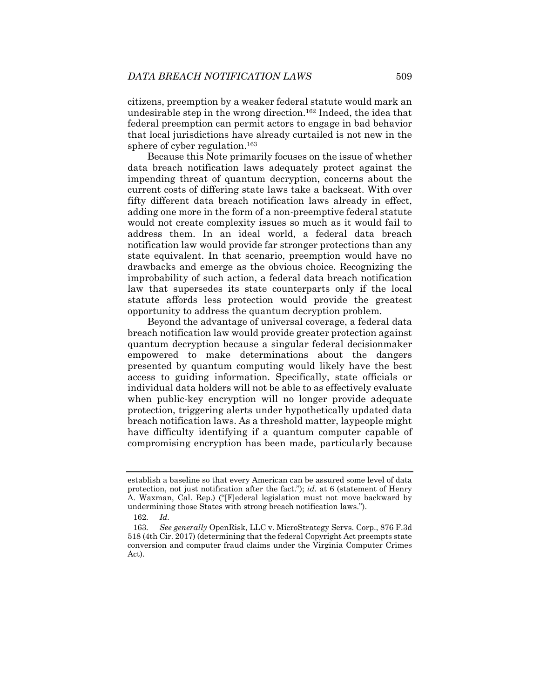citizens, preemption by a weaker federal statute would mark an undesirable step in the wrong direction.162 Indeed, the idea that federal preemption can permit actors to engage in bad behavior that local jurisdictions have already curtailed is not new in the sphere of cyber regulation.<sup>163</sup>

Because this Note primarily focuses on the issue of whether data breach notification laws adequately protect against the impending threat of quantum decryption, concerns about the current costs of differing state laws take a backseat. With over fifty different data breach notification laws already in effect, adding one more in the form of a non-preemptive federal statute would not create complexity issues so much as it would fail to address them. In an ideal world, a federal data breach notification law would provide far stronger protections than any state equivalent. In that scenario, preemption would have no drawbacks and emerge as the obvious choice. Recognizing the improbability of such action, a federal data breach notification law that supersedes its state counterparts only if the local statute affords less protection would provide the greatest opportunity to address the quantum decryption problem.

Beyond the advantage of universal coverage, a federal data breach notification law would provide greater protection against quantum decryption because a singular federal decisionmaker empowered to make determinations about the dangers presented by quantum computing would likely have the best access to guiding information. Specifically, state officials or individual data holders will not be able to as effectively evaluate when public-key encryption will no longer provide adequate protection, triggering alerts under hypothetically updated data breach notification laws. As a threshold matter, laypeople might have difficulty identifying if a quantum computer capable of compromising encryption has been made, particularly because

establish a baseline so that every American can be assured some level of data protection, not just notification after the fact."); *id.* at 6 (statement of Henry A. Waxman, Cal. Rep.) ("[F]ederal legislation must not move backward by undermining those States with strong breach notification laws.").

<sup>162</sup>*. Id.* 

<sup>163</sup>*. See generally* OpenRisk, LLC v. MicroStrategy Servs. Corp., 876 F.3d 518 (4th Cir. 2017) (determining that the federal Copyright Act preempts state conversion and computer fraud claims under the Virginia Computer Crimes Act).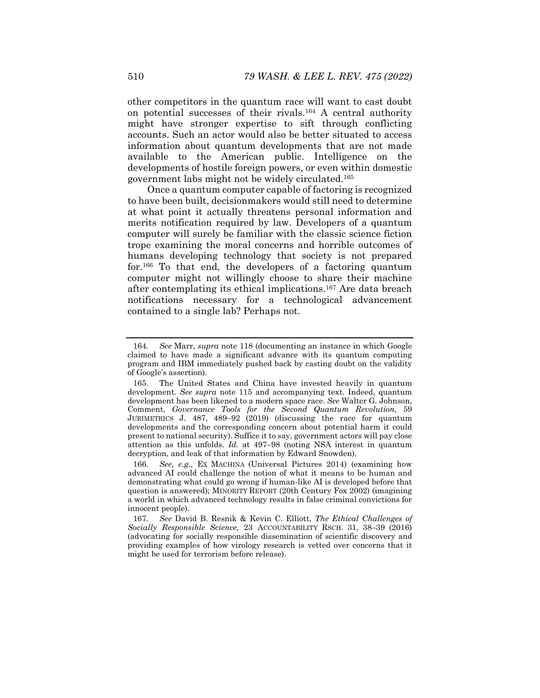other competitors in the quantum race will want to cast doubt on potential successes of their rivals.164 A central authority might have stronger expertise to sift through conflicting accounts. Such an actor would also be better situated to access information about quantum developments that are not made available to the American public. Intelligence on the developments of hostile foreign powers, or even within domestic government labs might not be widely circulated.165

Once a quantum computer capable of factoring is recognized to have been built, decisionmakers would still need to determine at what point it actually threatens personal information and merits notification required by law. Developers of a quantum computer will surely be familiar with the classic science fiction trope examining the moral concerns and horrible outcomes of humans developing technology that society is not prepared for.166 To that end, the developers of a factoring quantum computer might not willingly choose to share their machine after contemplating its ethical implications.167 Are data breach notifications necessary for a technological advancement contained to a single lab? Perhaps not.

<sup>164</sup>*. See* Marr, *supra* note 118 (documenting an instance in which Google claimed to have made a significant advance with its quantum computing program and IBM immediately pushed back by casting doubt on the validity of Google's assertion).

 <sup>165.</sup> The United States and China have invested heavily in quantum development. *See supra* note 115 and accompanying text. Indeed, quantum development has been likened to a modern space race. *See* Walter G. Johnson, Comment, *Governance Tools for the Second Quantum Revolution*, 59 JURIMETRICS J. 487, 489–92 (2019) (discussing the race for quantum developments and the corresponding concern about potential harm it could present to national security). Suffice it to say, government actors will pay close attention as this unfolds. *Id.* at 497–98 (noting NSA interest in quantum decryption, and leak of that information by Edward Snowden).

<sup>166</sup>*. See, e.g.*, EX MACHINA (Universal Pictures 2014) (examining how advanced AI could challenge the notion of what it means to be human and demonstrating what could go wrong if human-like AI is developed before that question is answered); MINORITY REPORT (20th Century Fox 2002) (imagining a world in which advanced technology results in false criminal convictions for innocent people).

<sup>167</sup>*. See* David B. Resnik & Kevin C. Elliott, *The Ethical Challenges of Socially Responsible Science*, 23 ACCOUNTABILITY RSCH. 31, 38–39 (2016) (advocating for socially responsible dissemination of scientific discovery and providing examples of how virology research is vetted over concerns that it might be used for terrorism before release).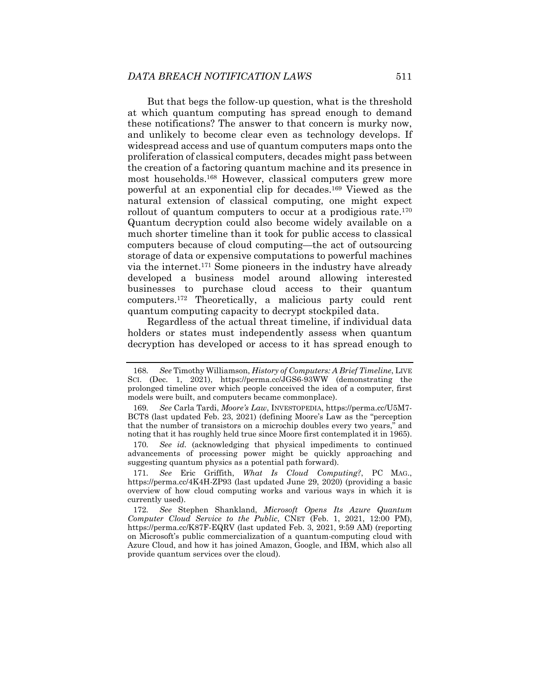But that begs the follow-up question, what is the threshold at which quantum computing has spread enough to demand these notifications? The answer to that concern is murky now, and unlikely to become clear even as technology develops. If widespread access and use of quantum computers maps onto the proliferation of classical computers, decades might pass between the creation of a factoring quantum machine and its presence in most households.168 However, classical computers grew more powerful at an exponential clip for decades.169 Viewed as the natural extension of classical computing, one might expect rollout of quantum computers to occur at a prodigious rate.<sup>170</sup> Quantum decryption could also become widely available on a much shorter timeline than it took for public access to classical computers because of cloud computing—the act of outsourcing storage of data or expensive computations to powerful machines via the internet.171 Some pioneers in the industry have already developed a business model around allowing interested businesses to purchase cloud access to their quantum computers.172 Theoretically, a malicious party could rent quantum computing capacity to decrypt stockpiled data.

Regardless of the actual threat timeline, if individual data holders or states must independently assess when quantum decryption has developed or access to it has spread enough to

170*. See id.* (acknowledging that physical impediments to continued advancements of processing power might be quickly approaching and suggesting quantum physics as a potential path forward).

171*. See* Eric Griffith, *What Is Cloud Computing?*, PC MAG., https://perma.cc/4K4H-ZP93 (last updated June 29, 2020) (providing a basic overview of how cloud computing works and various ways in which it is currently used).

172*. See* Stephen Shankland, *Microsoft Opens Its Azure Quantum Computer Cloud Service to the Public*, CNET (Feb. 1, 2021, 12:00 PM), https://perma.cc/K87F-EQRV (last updated Feb. 3, 2021, 9:59 AM) (reporting on Microsoft's public commercialization of a quantum-computing cloud with Azure Cloud, and how it has joined Amazon, Google, and IBM, which also all provide quantum services over the cloud).

<sup>168</sup>*. See* Timothy Williamson, *History of Computers: A Brief Timeline*, LIVE SCI. (Dec. 1, 2021), https://perma.cc/JGS6-93WW (demonstrating the prolonged timeline over which people conceived the idea of a computer, first models were built, and computers became commonplace).

<sup>169</sup>*. See* Carla Tardi, *Moore's Law*, INVESTOPEDIA, https://perma.cc/U5M7- BCT8 (last updated Feb. 23, 2021) (defining Moore's Law as the "perception that the number of transistors on a microchip doubles every two years," and noting that it has roughly held true since Moore first contemplated it in 1965).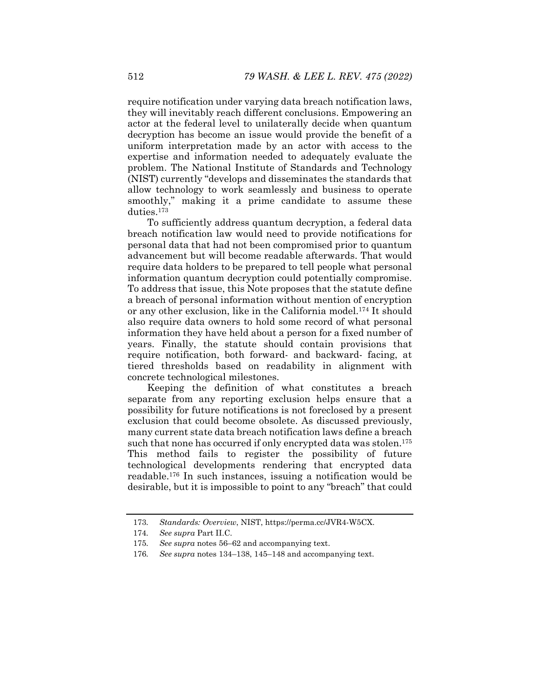require notification under varying data breach notification laws, they will inevitably reach different conclusions. Empowering an actor at the federal level to unilaterally decide when quantum decryption has become an issue would provide the benefit of a uniform interpretation made by an actor with access to the expertise and information needed to adequately evaluate the problem. The National Institute of Standards and Technology (NIST) currently "develops and disseminates the standards that allow technology to work seamlessly and business to operate smoothly," making it a prime candidate to assume these duties.173

To sufficiently address quantum decryption, a federal data breach notification law would need to provide notifications for personal data that had not been compromised prior to quantum advancement but will become readable afterwards. That would require data holders to be prepared to tell people what personal information quantum decryption could potentially compromise. To address that issue, this Note proposes that the statute define a breach of personal information without mention of encryption or any other exclusion, like in the California model.174 It should also require data owners to hold some record of what personal information they have held about a person for a fixed number of years. Finally, the statute should contain provisions that require notification, both forward- and backward- facing, at tiered thresholds based on readability in alignment with concrete technological milestones.

Keeping the definition of what constitutes a breach separate from any reporting exclusion helps ensure that a possibility for future notifications is not foreclosed by a present exclusion that could become obsolete. As discussed previously, many current state data breach notification laws define a breach such that none has occurred if only encrypted data was stolen.<sup>175</sup> This method fails to register the possibility of future technological developments rendering that encrypted data readable.176 In such instances, issuing a notification would be desirable, but it is impossible to point to any "breach" that could

176*. See supra* notes 134–138, 145–148 and accompanying text.

<sup>173</sup>*. Standards: Overview*, NIST, https://perma.cc/JVR4-W5CX.

<sup>174</sup>*. See supra* Part II.C.

<sup>175</sup>*. See supra* notes 56–62 and accompanying text.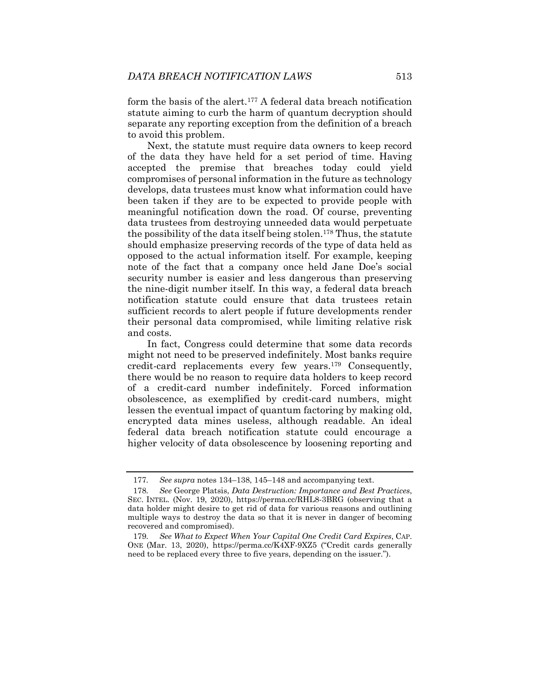form the basis of the alert.177 A federal data breach notification statute aiming to curb the harm of quantum decryption should separate any reporting exception from the definition of a breach to avoid this problem.

Next, the statute must require data owners to keep record of the data they have held for a set period of time. Having accepted the premise that breaches today could yield compromises of personal information in the future as technology develops, data trustees must know what information could have been taken if they are to be expected to provide people with meaningful notification down the road. Of course, preventing data trustees from destroying unneeded data would perpetuate the possibility of the data itself being stolen.178 Thus, the statute should emphasize preserving records of the type of data held as opposed to the actual information itself. For example, keeping note of the fact that a company once held Jane Doe's social security number is easier and less dangerous than preserving the nine-digit number itself. In this way, a federal data breach notification statute could ensure that data trustees retain sufficient records to alert people if future developments render their personal data compromised, while limiting relative risk and costs.

In fact, Congress could determine that some data records might not need to be preserved indefinitely. Most banks require credit-card replacements every few years.179 Consequently, there would be no reason to require data holders to keep record of a credit-card number indefinitely. Forced information obsolescence, as exemplified by credit-card numbers, might lessen the eventual impact of quantum factoring by making old, encrypted data mines useless, although readable. An ideal federal data breach notification statute could encourage a higher velocity of data obsolescence by loosening reporting and

<sup>177</sup>*. See supra* notes 134–138, 145–148 and accompanying text.

<sup>178</sup>*. See* George Platsis, *Data Destruction: Importance and Best Practices*, SEC. INTEL. (Nov. 19, 2020), https://perma.cc/RHL8-3BRG (observing that a data holder might desire to get rid of data for various reasons and outlining multiple ways to destroy the data so that it is never in danger of becoming recovered and compromised).

<sup>179</sup>*. See What to Expect When Your Capital One Credit Card Expires*, CAP. ONE (Mar. 13, 2020), https://perma.cc/K4XF-9XZ5 ("Credit cards generally need to be replaced every three to five years, depending on the issuer.").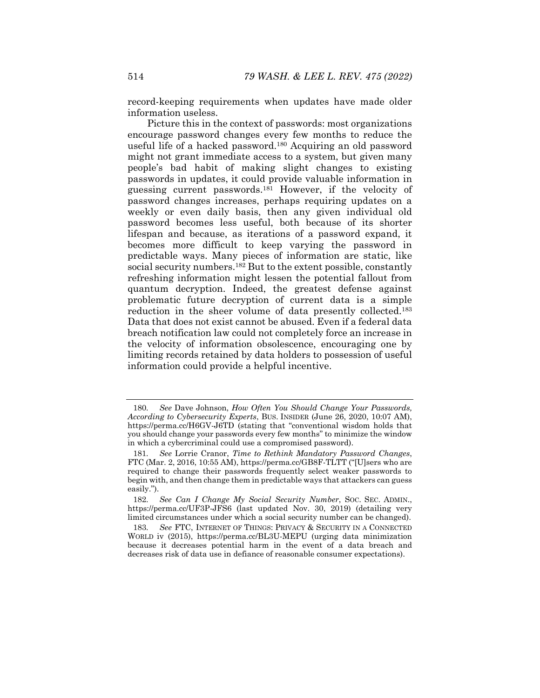record-keeping requirements when updates have made older information useless.

Picture this in the context of passwords: most organizations encourage password changes every few months to reduce the useful life of a hacked password.180 Acquiring an old password might not grant immediate access to a system, but given many people's bad habit of making slight changes to existing passwords in updates, it could provide valuable information in guessing current passwords.181 However, if the velocity of password changes increases, perhaps requiring updates on a weekly or even daily basis, then any given individual old password becomes less useful, both because of its shorter lifespan and because, as iterations of a password expand, it becomes more difficult to keep varying the password in predictable ways. Many pieces of information are static, like social security numbers.<sup>182</sup> But to the extent possible, constantly refreshing information might lessen the potential fallout from quantum decryption. Indeed, the greatest defense against problematic future decryption of current data is a simple reduction in the sheer volume of data presently collected.183 Data that does not exist cannot be abused. Even if a federal data breach notification law could not completely force an increase in the velocity of information obsolescence, encouraging one by limiting records retained by data holders to possession of useful information could provide a helpful incentive.

<sup>180</sup>*. See* Dave Johnson, *How Often You Should Change Your Passwords, According to Cybersecurity Experts*, BUS. INSIDER (June 26, 2020, 10:07 AM), https://perma.cc/H6GV-J6TD (stating that "conventional wisdom holds that you should change your passwords every few months" to minimize the window in which a cybercriminal could use a compromised password).

<sup>181</sup>*. See* Lorrie Cranor, *Time to Rethink Mandatory Password Changes*, FTC (Mar. 2, 2016, 10:55 AM), https://perma.cc/GB8F-TLTT ("[U]sers who are required to change their passwords frequently select weaker passwords to begin with, and then change them in predictable ways that attackers can guess easily.").

<sup>182</sup>*. See Can I Change My Social Security Number*, SOC. SEC. ADMIN., https://perma.cc/UF3P-JFS6 (last updated Nov. 30, 2019) (detailing very limited circumstances under which a social security number can be changed).

<sup>183</sup>*. See* FTC, INTERNET OF THINGS: PRIVACY & SECURITY IN A CONNECTED WORLD iv (2015), https://perma.cc/BL3U-MEPU (urging data minimization because it decreases potential harm in the event of a data breach and decreases risk of data use in defiance of reasonable consumer expectations).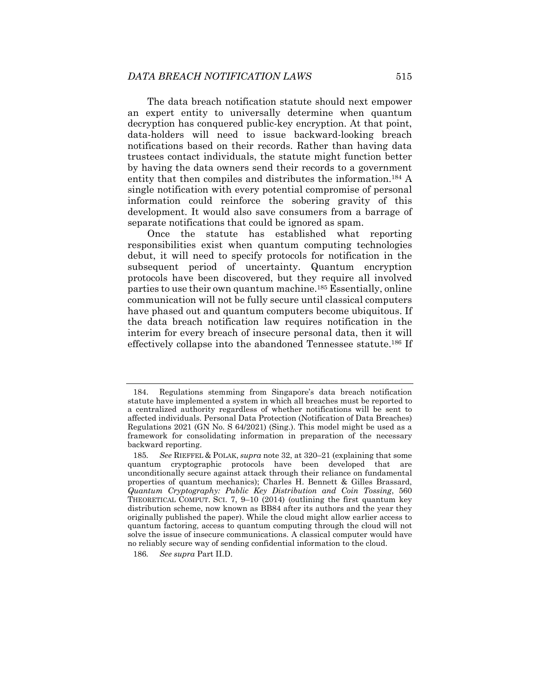The data breach notification statute should next empower an expert entity to universally determine when quantum decryption has conquered public-key encryption. At that point, data-holders will need to issue backward-looking breach notifications based on their records. Rather than having data trustees contact individuals, the statute might function better by having the data owners send their records to a government entity that then compiles and distributes the information.184 A single notification with every potential compromise of personal information could reinforce the sobering gravity of this development. It would also save consumers from a barrage of separate notifications that could be ignored as spam.

Once the statute has established what reporting responsibilities exist when quantum computing technologies debut, it will need to specify protocols for notification in the subsequent period of uncertainty. Quantum encryption protocols have been discovered, but they require all involved parties to use their own quantum machine.185 Essentially, online communication will not be fully secure until classical computers have phased out and quantum computers become ubiquitous. If the data breach notification law requires notification in the interim for every breach of insecure personal data, then it will effectively collapse into the abandoned Tennessee statute.186 If

 <sup>184.</sup> Regulations stemming from Singapore's data breach notification statute have implemented a system in which all breaches must be reported to a centralized authority regardless of whether notifications will be sent to affected individuals. Personal Data Protection (Notification of Data Breaches) Regulations 2021 (GN No. S 64/2021) (Sing.). This model might be used as a framework for consolidating information in preparation of the necessary backward reporting.

<sup>185</sup>*. See* RIEFFEL & POLAK, *supra* note 32, at 320–21 (explaining that some quantum cryptographic protocols have been developed that are unconditionally secure against attack through their reliance on fundamental properties of quantum mechanics); Charles H. Bennett & Gilles Brassard, *Quantum Cryptography: Public Key Distribution and Coin Tossing*, 560 THEORETICAL COMPUT. SCI. 7, 9–10 (2014) (outlining the first quantum key distribution scheme, now known as BB84 after its authors and the year they originally published the paper). While the cloud might allow earlier access to quantum factoring, access to quantum computing through the cloud will not solve the issue of insecure communications. A classical computer would have no reliably secure way of sending confidential information to the cloud.

<sup>186</sup>*. See supra* Part II.D.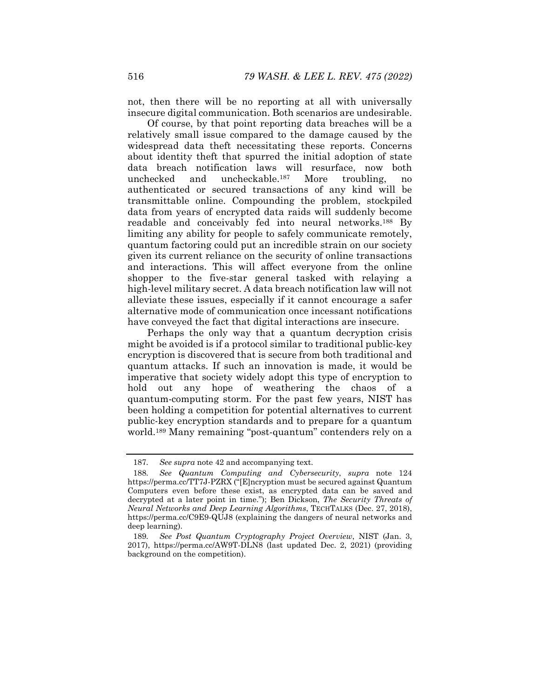not, then there will be no reporting at all with universally insecure digital communication. Both scenarios are undesirable.

Of course, by that point reporting data breaches will be a relatively small issue compared to the damage caused by the widespread data theft necessitating these reports. Concerns about identity theft that spurred the initial adoption of state data breach notification laws will resurface, now both unchecked and uncheckable.187 More troubling, no authenticated or secured transactions of any kind will be transmittable online. Compounding the problem, stockpiled data from years of encrypted data raids will suddenly become readable and conceivably fed into neural networks.188 By limiting any ability for people to safely communicate remotely, quantum factoring could put an incredible strain on our society given its current reliance on the security of online transactions and interactions. This will affect everyone from the online shopper to the five-star general tasked with relaying a high-level military secret. A data breach notification law will not alleviate these issues, especially if it cannot encourage a safer alternative mode of communication once incessant notifications have conveyed the fact that digital interactions are insecure.

Perhaps the only way that a quantum decryption crisis might be avoided is if a protocol similar to traditional public-key encryption is discovered that is secure from both traditional and quantum attacks. If such an innovation is made, it would be imperative that society widely adopt this type of encryption to hold out any hope of weathering the chaos of a quantum-computing storm. For the past few years, NIST has been holding a competition for potential alternatives to current public-key encryption standards and to prepare for a quantum world.189 Many remaining "post-quantum" contenders rely on a

<sup>187</sup>*. See supra* note 42 and accompanying text.

<sup>188</sup>*. See Quantum Computing and Cybersecurity*, *supra* note 124 https://perma.cc/TT7J-PZRX ("[E]ncryption must be secured against Quantum Computers even before these exist, as encrypted data can be saved and decrypted at a later point in time."); Ben Dickson, *The Security Threats of Neural Networks and Deep Learning Algorithms*, TECHTALKS (Dec. 27, 2018), https://perma.cc/C9E9-QUJ8 (explaining the dangers of neural networks and deep learning).

<sup>189</sup>*. See Post Quantum Cryptography Project Overview*, NIST (Jan. 3, 2017), https://perma.cc/AW9T-DLN8 (last updated Dec. 2, 2021) (providing background on the competition).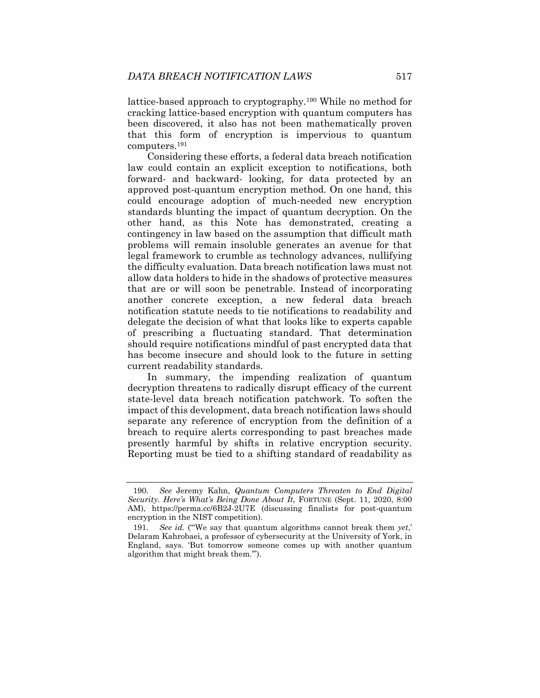lattice-based approach to cryptography.190 While no method for cracking lattice-based encryption with quantum computers has been discovered, it also has not been mathematically proven that this form of encryption is impervious to quantum computers.191

Considering these efforts, a federal data breach notification law could contain an explicit exception to notifications, both forward- and backward- looking, for data protected by an approved post-quantum encryption method. On one hand, this could encourage adoption of much-needed new encryption standards blunting the impact of quantum decryption. On the other hand, as this Note has demonstrated, creating a contingency in law based on the assumption that difficult math problems will remain insoluble generates an avenue for that legal framework to crumble as technology advances, nullifying the difficulty evaluation. Data breach notification laws must not allow data holders to hide in the shadows of protective measures that are or will soon be penetrable. Instead of incorporating another concrete exception, a new federal data breach notification statute needs to tie notifications to readability and delegate the decision of what that looks like to experts capable of prescribing a fluctuating standard. That determination should require notifications mindful of past encrypted data that has become insecure and should look to the future in setting current readability standards.

In summary, the impending realization of quantum decryption threatens to radically disrupt efficacy of the current state-level data breach notification patchwork. To soften the impact of this development, data breach notification laws should separate any reference of encryption from the definition of a breach to require alerts corresponding to past breaches made presently harmful by shifts in relative encryption security. Reporting must be tied to a shifting standard of readability as

<sup>190</sup>*. See* Jeremy Kahn, *Quantum Computers Threaten to End Digital Security. Here's What's Being Done About It*, FORTUNE (Sept. 11, 2020, 8:00 AM), https://perma.cc/6B2J-2U7E (discussing finalists for post-quantum encryption in the NIST competition).

<sup>191</sup>*. See id.* ("'We say that quantum algorithms cannot break them *yet*,' Delaram Kahrobaei, a professor of cybersecurity at the University of York, in England, says. 'But tomorrow someone comes up with another quantum algorithm that might break them.'").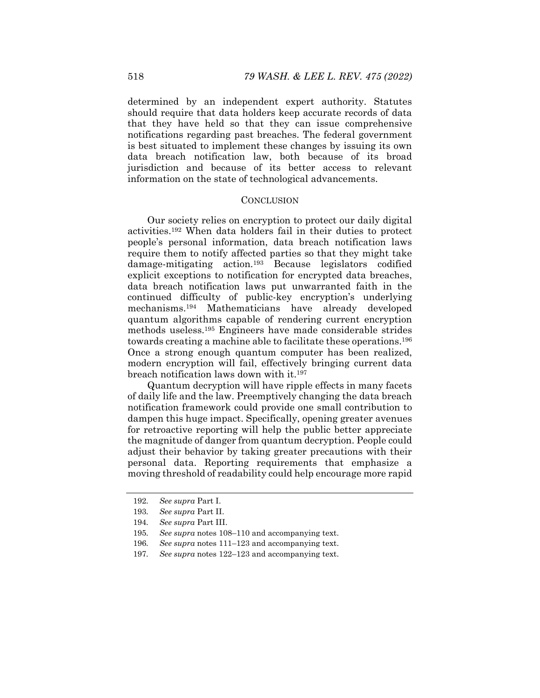determined by an independent expert authority. Statutes should require that data holders keep accurate records of data that they have held so that they can issue comprehensive notifications regarding past breaches. The federal government is best situated to implement these changes by issuing its own data breach notification law, both because of its broad jurisdiction and because of its better access to relevant information on the state of technological advancements.

#### **CONCLUSION**

Our society relies on encryption to protect our daily digital activities.192 When data holders fail in their duties to protect people's personal information, data breach notification laws require them to notify affected parties so that they might take damage-mitigating action.193 Because legislators codified explicit exceptions to notification for encrypted data breaches, data breach notification laws put unwarranted faith in the continued difficulty of public-key encryption's underlying mechanisms.194 Mathematicians have already developed quantum algorithms capable of rendering current encryption methods useless.195 Engineers have made considerable strides towards creating a machine able to facilitate these operations.196 Once a strong enough quantum computer has been realized, modern encryption will fail, effectively bringing current data breach notification laws down with it.197

Quantum decryption will have ripple effects in many facets of daily life and the law. Preemptively changing the data breach notification framework could provide one small contribution to dampen this huge impact. Specifically, opening greater avenues for retroactive reporting will help the public better appreciate the magnitude of danger from quantum decryption. People could adjust their behavior by taking greater precautions with their personal data. Reporting requirements that emphasize a moving threshold of readability could help encourage more rapid

<sup>192</sup>*. See supra* Part I.

<sup>193</sup>*. See supra* Part II.

<sup>194</sup>*. See supra* Part III.

<sup>195</sup>*. See supra* notes 108–110 and accompanying text.

<sup>196</sup>*. See supra* notes 111–123 and accompanying text.

<sup>197</sup>*. See supra* notes 122–123 and accompanying text.